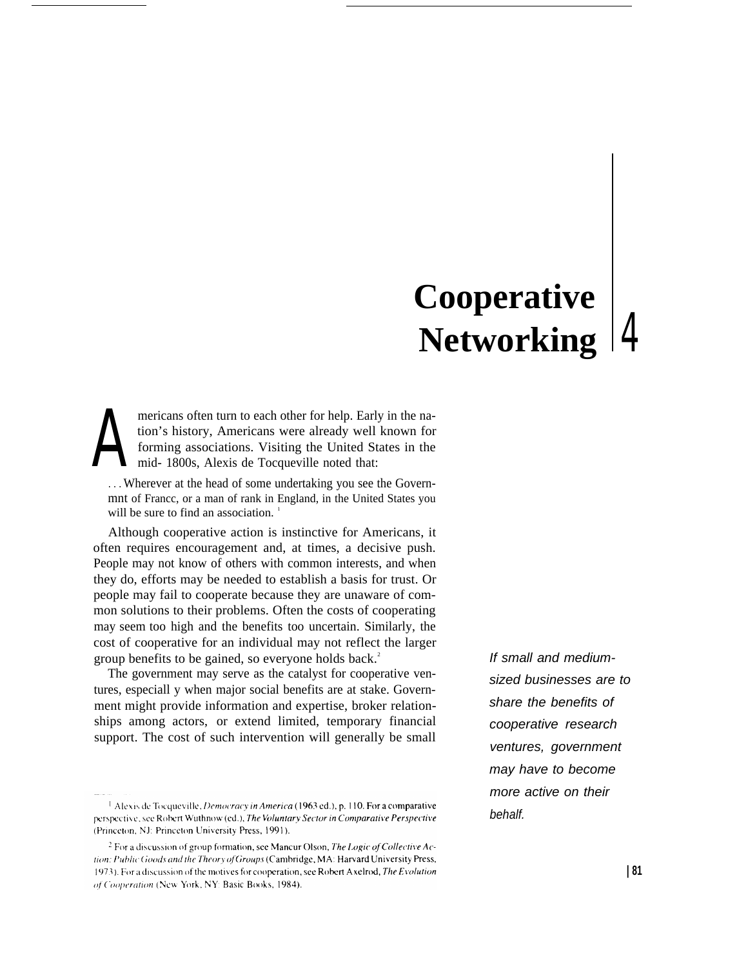# **Cooperative Networking**

 $A$ <sup>tid</sup> mericans often turn to each other for help. Early in the nation's history, Americans were already well known for forming associations. Visiting the United States in the mid- 1800s, Alexis de Tocqueville noted that:

. . . Wherever at the head of some undertaking you see the Governmnt of Francc, or a man of rank in England, in the United States you will be sure to find an association.<sup>1</sup>

Although cooperative action is instinctive for Americans, it often requires encouragement and, at times, a decisive push. People may not know of others with common interests, and when they do, efforts may be needed to establish a basis for trust. Or people may fail to cooperate because they are unaware of common solutions to their problems. Often the costs of cooperating may seem too high and the benefits too uncertain. Similarly, the cost of cooperative for an individual may not reflect the larger group benefits to be gained, so everyone holds back.<sup>2</sup>

The government may serve as the catalyst for cooperative ventures, especiall y when major social benefits are at stake. Government might provide information and expertise, broker relationships among actors, or extend limited, temporary financial support. The cost of such intervention will generally be small If small and mediumsized businesses are to share the benefits of cooperative research ventures, government may have to become more active on their behalf.

<sup>&</sup>lt;sup>1</sup> Alexis de Tocqueville, *Democracy in America* (1963 ed.), p. 110. For a comparative perspective, see Robert Wuthnow (ed.), The Voluntary Sector in Comparative Perspective (Princeton, NJ: Princeton University Press, 1991).

<sup>&</sup>lt;sup>2</sup> For a discussion of group formation, see Mancur Olson, The Logic of Collective Action: Public Goods and the Theory of Groups (Cambridge, MA: Harvard University Press, 1973). For a discussion of the motives for cooperation, see Robert Axelrod, The Evolution of Cooperation (New York, NY: Basic Books, 1984).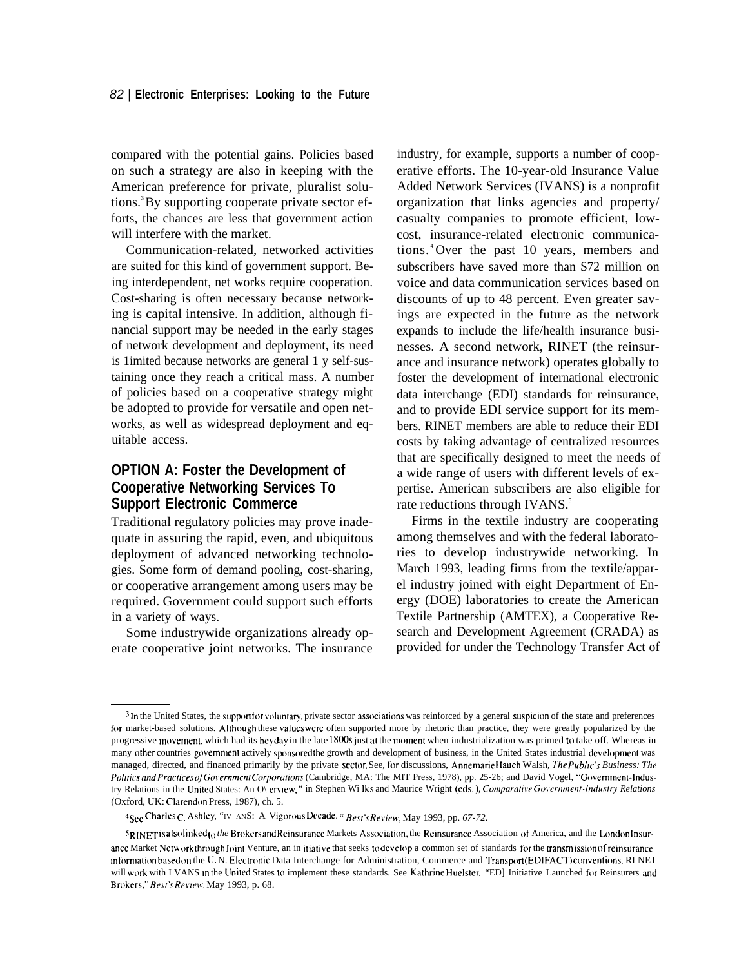compared with the potential gains. Policies based on such a strategy are also in keeping with the American preference for private, pluralist solutions.<sup>3</sup> By supporting cooperate private sector efforts, the chances are less that government action will interfere with the market.

Communication-related, networked activities are suited for this kind of government support. Being interdependent, net works require cooperation. Cost-sharing is often necessary because networking is capital intensive. In addition, although financial support may be needed in the early stages of network development and deployment, its need is 1imited because networks are general 1 y self-sustaining once they reach a critical mass. A number of policies based on a cooperative strategy might be adopted to provide for versatile and open networks, as well as widespread deployment and equitable access.

# **OPTION A: Foster the Development of Cooperative Networking Services To Support Electronic Commerce**

Traditional regulatory policies may prove inadequate in assuring the rapid, even, and ubiquitous deployment of advanced networking technologies. Some form of demand pooling, cost-sharing, or cooperative arrangement among users may be required. Government could support such efforts in a variety of ways.

Some industrywide organizations already operate cooperative joint networks. The insurance industry, for example, supports a number of cooperative efforts. The 10-year-old Insurance Value Added Network Services (IVANS) is a nonprofit organization that links agencies and property/ casualty companies to promote efficient, lowcost, insurance-related electronic communications. <sup>4</sup>Over the past 10 years, members and subscribers have saved more than \$72 million on voice and data communication services based on discounts of up to 48 percent. Even greater savings are expected in the future as the network expands to include the life/health insurance businesses. A second network, RINET (the reinsurance and insurance network) operates globally to foster the development of international electronic data interchange (EDI) standards for reinsurance, and to provide EDI service support for its members. RINET members are able to reduce their EDI costs by taking advantage of centralized resources that are specifically designed to meet the needs of a wide range of users with different levels of expertise. American subscribers are also eligible for rate reductions through IVANS.<sup>5</sup>

Firms in the textile industry are cooperating among themselves and with the federal laboratories to develop industrywide networking. In March 1993, leading firms from the textile/apparel industry joined with eight Department of Energy (DOE) laboratories to create the American Textile Partnership (AMTEX), a Cooperative Research and Development Agreement (CRADA) as provided for under the Technology Transfer Act of

<sup>&</sup>lt;sup>3</sup>In the United States, the supportfor voluntary, private sector associations was reinforced by a general suspicion of the state and preferences for market-based solutions. Although these values were often supported more by rhetoric than practice, they were greatly popularized by the progressive movement, which had its heyday in the late 1800s just at the moment when industrialization was primed to take off. Whereas in many other countries government actively sponsored the growth and development of business, in the United States industrial development was managed, directed, and financed primarily by the private sector. See, for discussions, Annemarie Hauch Walsh, The Public's Business: The Politics and Practices of Government Corporations (Cambridge, MA: The MIT Press, 1978), pp. 25-26; and David Vogel, "Government-Industry Relations in the United States: An O\ erview, " in Stephen Wi Iks and Maurice Wright (eds.), *Comparative Government-Industry Relations* (Oxford, UK: Clarendon Press, 1987), ch. 5.

<sup>4</sup>See Charles C, Ashley, "IV ANS: A Vigorous Decade, " Best's Review, May 1993, pp. 67-72.

*<sup>5</sup>RINET* is also linked<sub>to</sub> the Brokers and Reinsurance Markets Association, the Reinsurance Association of America, and the London Insurance Market Network through Joint Venture, an in itiative that seeks to develop a common set of standards for the transmission of reinsurance information based on the U.N. Electronic Data Interchange for Administration, Commerce and Transport (EDIFACT) conventions. RI NET will work with I VANS in the United States to implement these standards. See Kathrine Huelster, "ED] Initiative Launched for Reinsurers and Brokers," Best's Review, May 1993, p. 68.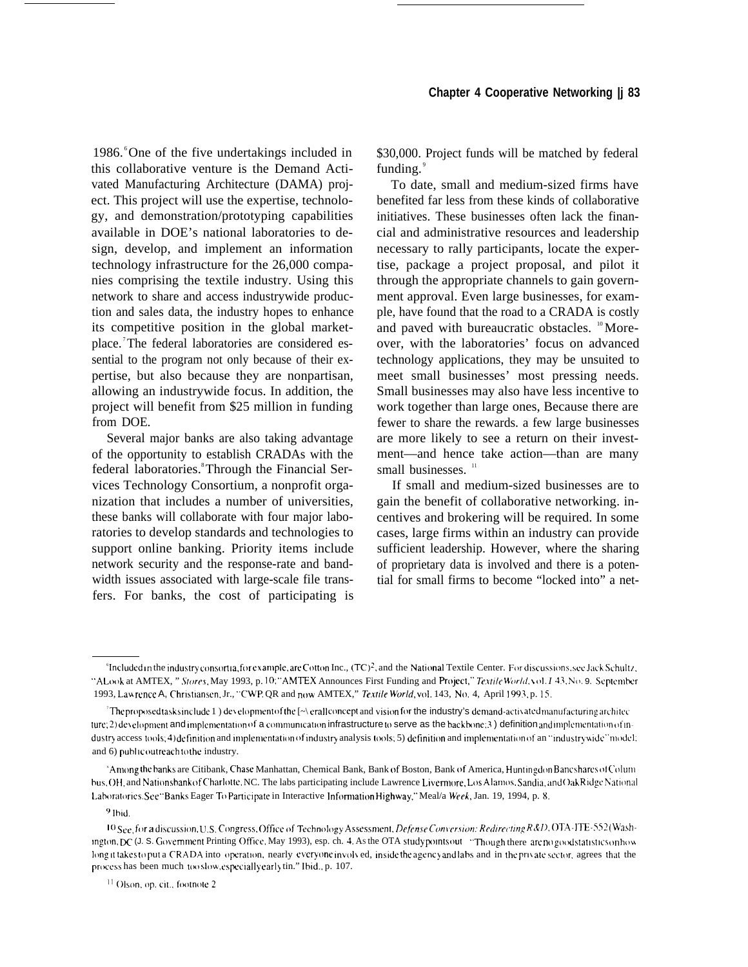1986. <sup>o</sup>One of the five undertakings included in this collaborative venture is the Demand Activated Manufacturing Architecture (DAMA) project. This project will use the expertise, technology, and demonstration/prototyping capabilities available in DOE's national laboratories to design, develop, and implement an information technology infrastructure for the 26,000 companies comprising the textile industry. Using this network to share and access industrywide production and sales data, the industry hopes to enhance its competitive position in the global marketplace. <sup>7</sup>The federal laboratories are considered essential to the program not only because of their expertise, but also because they are nonpartisan, allowing an industrywide focus. In addition, the project will benefit from \$25 million in funding from DOE.

Several major banks are also taking advantage of the opportunity to establish CRADAs with the federal laboratories.<sup>8</sup> Through the Financial Services Technology Consortium, a nonprofit organization that includes a number of universities, these banks will collaborate with four major laboratories to develop standards and technologies to support online banking. Priority items include network security and the response-rate and bandwidth issues associated with large-scale file transfers. For banks, the cost of participating is \$30,000. Project funds will be matched by federal funding. $\degree$ 

To date, small and medium-sized firms have benefited far less from these kinds of collaborative initiatives. These businesses often lack the financial and administrative resources and leadership necessary to rally participants, locate the expertise, package a project proposal, and pilot it through the appropriate channels to gain government approval. Even large businesses, for example, have found that the road to a CRADA is costly and paved with bureaucratic obstacles. <sup>10</sup>Moreover, with the laboratories' focus on advanced technology applications, they may be unsuited to meet small businesses' most pressing needs. Small businesses may also have less incentive to work together than large ones, Because there are fewer to share the rewards. a few large businesses are more likely to see a return on their investment—and hence take action—than are many small businesses.<sup>11</sup>

If small and medium-sized businesses are to gain the benefit of collaborative networking. incentives and brokering will be required. In some cases, large firms within an industry can provide sufficient leadership. However, where the sharing of proprietary data is involved and there is a potential for small firms to become "locked into" a net-

<sup>&</sup>lt;sup>6</sup>Included in the industry consortia, for example, are Cotton Inc., (TC)<sup>2</sup>, and the National Textile Center. For discussions, see Jack Schultz, "A Look at AMTEX, " Stores, May 1993, p. 10;" AMTEX Announces First Funding and Project," Textile World,  $y$ ol. I 43, No. 9. September 1993, Law rence A, Christiansen. Jr., "CWP. QR and now AMTEX," *Textile World*, vol. 143, No. 4, April 1993. p. 15,

The proposed tasks include 1) development of the  $[\sim]$  erall concept and vision for the industry's demand-activated manufacturing architec  $ture: 2)$  development and implementation of a communication infrastructure to serve as the backbone; 3) definition and implementation of industry access tools; 4) definition and implementation of industry analysis tools; 5) definition and implementation of an "industrywide" model: and 6) public outreach to the industry.

<sup>&</sup>lt;sup>\*</sup>Among the banks are Citibank, Chase Manhattan, Chemical Bank, Bank of Boston, Bank of America, Huntingdon Bancshares of Colum bus, OH, and Nationsbank of Charlotte. NC. The labs participating include Lawrence Livermore, Los Alamos. Sandia, and OakRidgc National Laboratories. See "Banks Eager To Participate in Interactive Information Highway," Meal/a Week, Jan. 19, 1994, p. 8.

<sup>9</sup> lbid.

<sup>10</sup> See, for a discussion, U.S. Congress, Office of Technology Assessment, Defense Conversion: Redirecting R&D, OTA-ITE-552 (Wash*ington, DC* (J. S. Government Printing Office, May 1993), esp. ch. 4. As the OTA study points out "Though there arc no good statistics on how long it takes to put a CRADA into operation, nearly everyone involved, inside the agency and labs and in the private sector, agrees that the process has been much too slow, especially early tin." Ibid., p. 107.

<sup>&</sup>lt;sup>11</sup> Olson, op. cit., footnote 2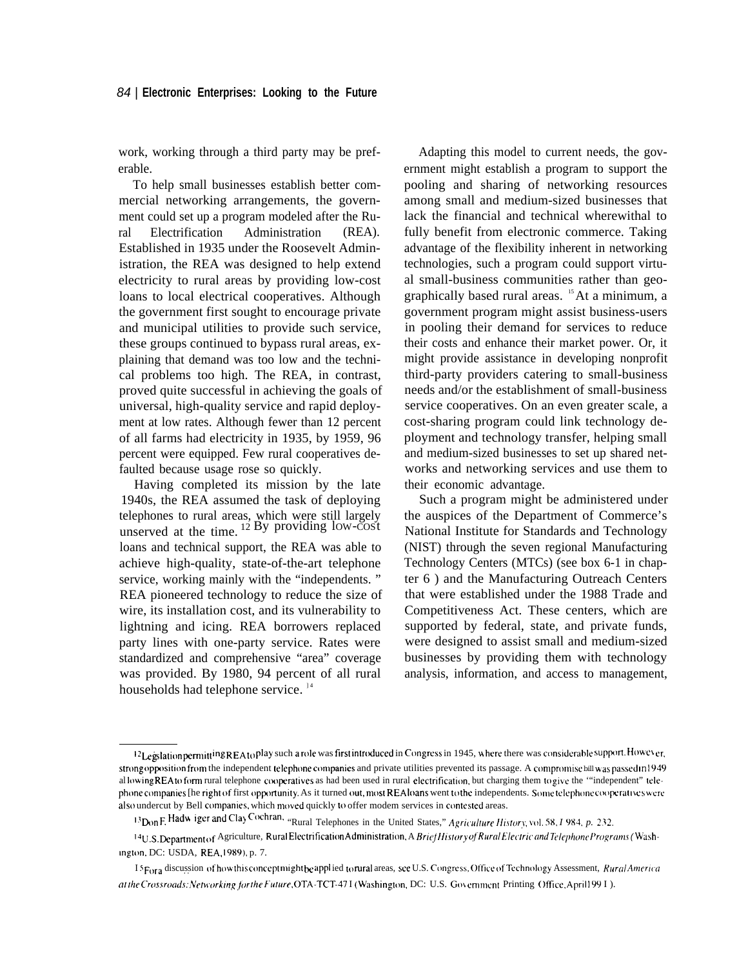work, working through a third party may be preferable.

To help small businesses establish better commercial networking arrangements, the government could set up a program modeled after the Rural Electrification Administration (REA). Established in 1935 under the Roosevelt Administration, the REA was designed to help extend electricity to rural areas by providing low-cost loans to local electrical cooperatives. Although the government first sought to encourage private and municipal utilities to provide such service, these groups continued to bypass rural areas, explaining that demand was too low and the technical problems too high. The REA, in contrast, proved quite successful in achieving the goals of universal, high-quality service and rapid deployment at low rates. Although fewer than 12 percent of all farms had electricity in 1935, by 1959, 96 percent were equipped. Few rural cooperatives defaulted because usage rose so quickly.

Having completed its mission by the late 1940s, the REA assumed the task of deploying telephones to rural areas, which were still largely unserved at the time.  $12$  By providing low-cost loans and technical support, the REA was able to achieve high-quality, state-of-the-art telephone service, working mainly with the "independents. " REA pioneered technology to reduce the size of wire, its installation cost, and its vulnerability to lightning and icing. REA borrowers replaced party lines with one-party service. Rates were standardized and comprehensive "area" coverage was provided. By 1980, 94 percent of all rural households had telephone service.  $\frac{14}{3}$ 

Adapting this model to current needs, the government might establish a program to support the pooling and sharing of networking resources among small and medium-sized businesses that lack the financial and technical wherewithal to fully benefit from electronic commerce. Taking advantage of the flexibility inherent in networking technologies, such a program could support virtual small-business communities rather than geographically based rural areas. <sup>15</sup>At a minimum, a government program might assist business-users in pooling their demand for services to reduce their costs and enhance their market power. Or, it might provide assistance in developing nonprofit third-party providers catering to small-business needs and/or the establishment of small-business service cooperatives. On an even greater scale, a cost-sharing program could link technology deployment and technology transfer, helping small and medium-sized businesses to set up shared networks and networking services and use them to their economic advantage.

Such a program might be administered under the auspices of the Department of Commerce's National Institute for Standards and Technology (NIST) through the seven regional Manufacturing Technology Centers (MTCs) (see box 6-1 in chapter 6 ) and the Manufacturing Outreach Centers that were established under the 1988 Trade and Competitiveness Act. These centers, which are supported by federal, state, and private funds, were designed to assist small and medium-sized businesses by providing them with technology analysis, information, and access to management,

 $^{12}$ Legslation permitt <sup>ing</sup> REA to play such a role was first introduced in Congress in 1945, where there was considerable support. However, strong opposition from the independent telephone companies and private utilities prevented its passage. A compromise bill was passed in 1949 al lowing REA to form rural telephone cooperatives as had been used in rural electrification, but charging them to give the "independent" telephone companies [he right of first opportunity. As it turned out, most REA loans went to the independents. Some telephone cooperatives were also undercut by Bell companies, which moved quickly to offer modem services in contested areas.

<sup>1&</sup>lt;sup>3</sup> Don F. Hadw iger and Clay Cochran, "Rural Telephones in the United States," *Agriculture History*, vol. 58, *I* 984, *p.* 232.

<sup>&</sup>lt;sup>14</sup>U.S. Department of Agriculture, RuralElectrification Administration, A Brief History of Rural Electric and Telephone Programs (Wash-Ingt(m, DC: USDA, REA, 1989), p. 7.

I 5 For a discussion of how this concept might be applied to rural areas, see U.S. Congress, Office of Technology Assessment, Rural America at the Crossroads: Networking for the Future, OTA-TCT-47 I (Washington, DC: U.S. Government Printing Office, April1991).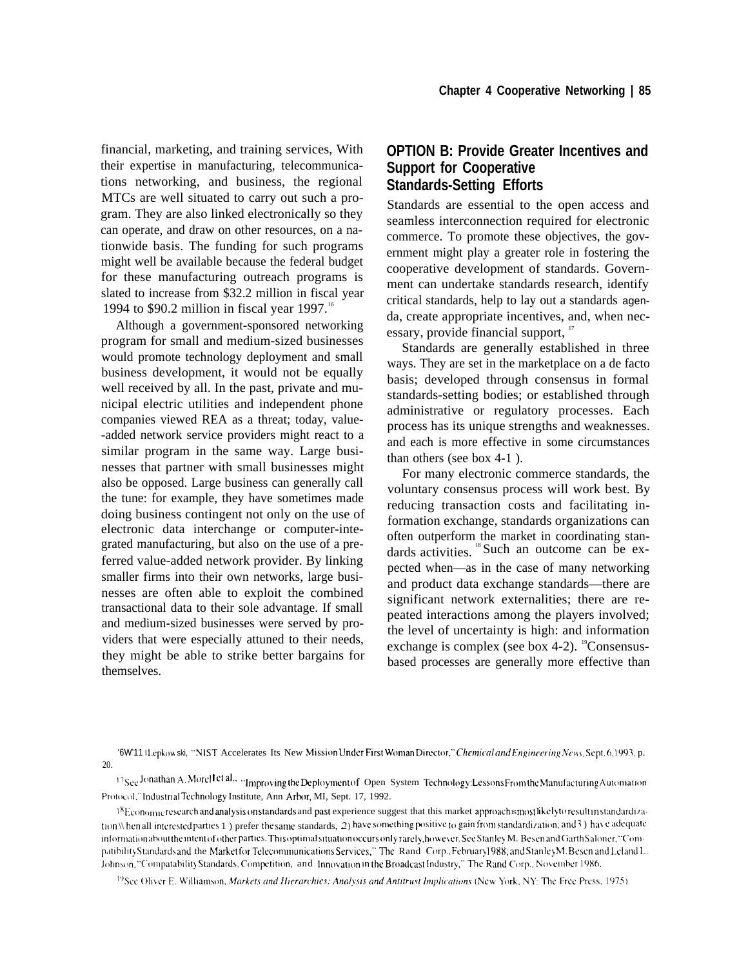financial, marketing, and training services, With their expertise in manufacturing, telecommunications networking, and business, the regional MTCs are well situated to carry out such a program. They are also linked electronically so they can operate, and draw on other resources, on a nationwide basis. The funding for such programs might well be available because the federal budget for these manufacturing outreach programs is slated to increase from \$32.2 million in fiscal year 1994 to \$90.2 million in fiscal year 1997.<sup>16</sup>

Although a government-sponsored networking program for small and medium-sized businesses would promote technology deployment and small business development, it would not be equally well received by all. In the past, private and municipal electric utilities and independent phone companies viewed REA as a threat; today, value- -added network service providers might react to a similar program in the same way. Large businesses that partner with small businesses might also be opposed. Large business can generally call the tune: for example, they have sometimes made doing business contingent not only on the use of electronic data interchange or computer-integrated manufacturing, but also on the use of a preferred value-added network provider. By linking smaller firms into their own networks, large businesses are often able to exploit the combined transactional data to their sole advantage. If small and medium-sized businesses were served by providers that were especially attuned to their needs, they might be able to strike better bargains for themselves.

# **OPTION B: Provide Greater Incentives and Support for Cooperative Standards-Setting Efforts**

Standards are essential to the open access and seamless interconnection required for electronic commerce. To promote these objectives, the government might play a greater role in fostering the cooperative development of standards. Government can undertake standards research, identify critical standards, help to lay out a standards agenda, create appropriate incentives, and, when necessary, provide financial support,  $17$ 

Standards are generally established in three ways. They are set in the marketplace on a de facto basis; developed through consensus in formal standards-setting bodies; or established through administrative or regulatory processes. Each process has its unique strengths and weaknesses. and each is more effective in some circumstances than others (see box 4-1 ).

For many electronic commerce standards, the voluntary consensus process will work best. By reducing transaction costs and facilitating information exchange, standards organizations can often outperform the market in coordinating standards activities. 18 Such an outcome can be expected when—as in the case of many networking and product data exchange standards—there are significant network externalities; there are repeated interactions among the players involved; the level of uncertainty is high: and information exchange is complex (see box 4-2).  $^{19}$ Consensusbased processes are generally more effective than

<sup>19</sup>See Oliver E. Williamson, *Markets and Hierarchies: Analysis and Antitrust Implications* (New York, NY: The Free Press, 1975).

<sup>&#</sup>x27;6W'11 I Lepkow ski, "NIST Accelerates Its New Mission Under First Woman Director," Chemical and Engineering News. Sept. 6, 1993, p. 20.

<sup>17</sup>See Jonathan A. Morel I et al., "Improving the Deployment of Open System Technology: Lessons From the Manufacturing Automation Protocol." Industrial Technology Institute, Ann Arbor, MI, Sept. 17, 1992.

 $^{18}$ Economic research and analysis on standards and past experience suggest that this market approach smostlikely to result in standardization \\ hen all interested parties 1) prefer the same standards, 2) have something positive to gain from standardization; and 3) have adequate informationabout the intent of other parties. This optimal situation occurs only rarely, however. See Stanley M. Besen and Garth Saloner, "Compatibility Standards and the Market for Telecommunications Services," The Rand Corp.. February 1988; and Stanley M. Besen and Leland L. Johnson, "Compatability Standards, Competition, and Innovation in the Broadcast Industry," The Rand Corp., November 1986.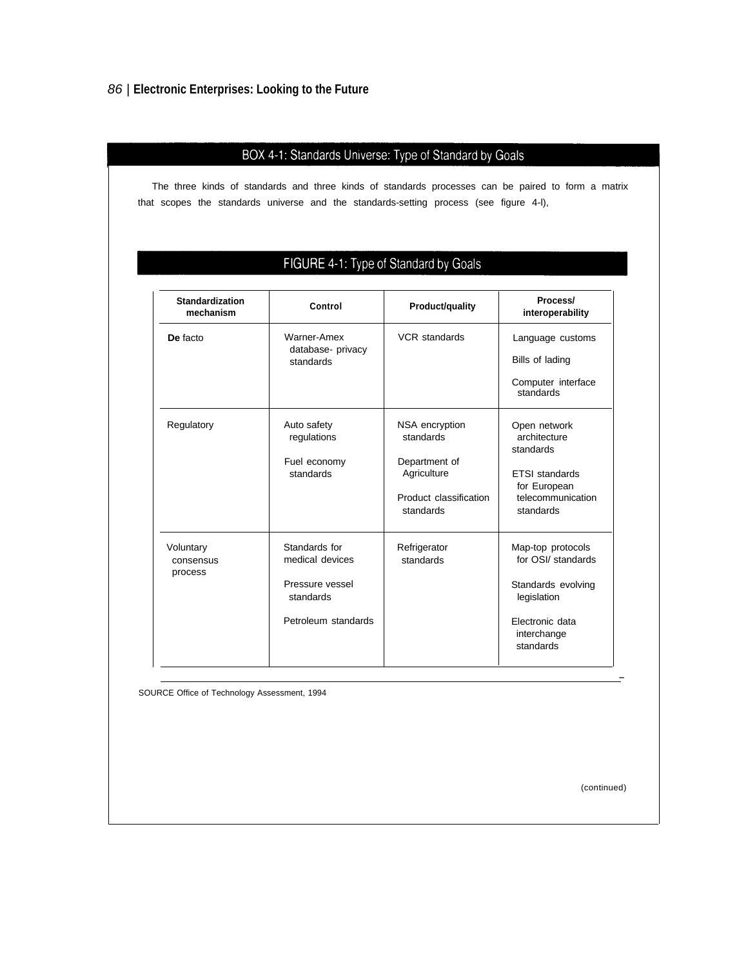# 86 | **Electronic Enterprises: Looking to the Future**

# BOX 4-1: Standards Universe: Type of Standard by Goals

The three kinds of standards and three kinds of standards processes can be paired to form a matrix that scopes the standards universe and the standards-setting process (see figure 4-l),

# FIGURE 4-1: Type of Standard by Goals

| <b>Standardization</b><br>mechanism | Control                                       | Product/quality                     | Process/<br>interoperability                |
|-------------------------------------|-----------------------------------------------|-------------------------------------|---------------------------------------------|
| De facto                            | Warner-Amex<br>database- privacy<br>standards | <b>VCR</b> standards                | Language customs<br>Bills of lading         |
|                                     |                                               |                                     | Computer interface<br>standards             |
| Regulatory                          | Auto safety<br>regulations                    | NSA encryption<br>standards         | Open network<br>architecture<br>standards   |
|                                     | Fuel economy                                  | Department of                       |                                             |
|                                     | standards                                     | Agriculture                         | <b>ETSI</b> standards<br>for European       |
|                                     |                                               | Product classification<br>standards | telecommunication<br>standards              |
| Voluntary<br>consensus<br>process   | Standards for<br>medical devices              | Refrigerator<br>standards           | Map-top protocols<br>for OSI/ standards     |
|                                     | Pressure vessel<br>standards                  |                                     | Standards evolving<br>legislation           |
|                                     | Petroleum standards                           |                                     | Electronic data<br>interchange<br>standards |

SOURCE Office of Technology Assessment, 1994

(continued)

—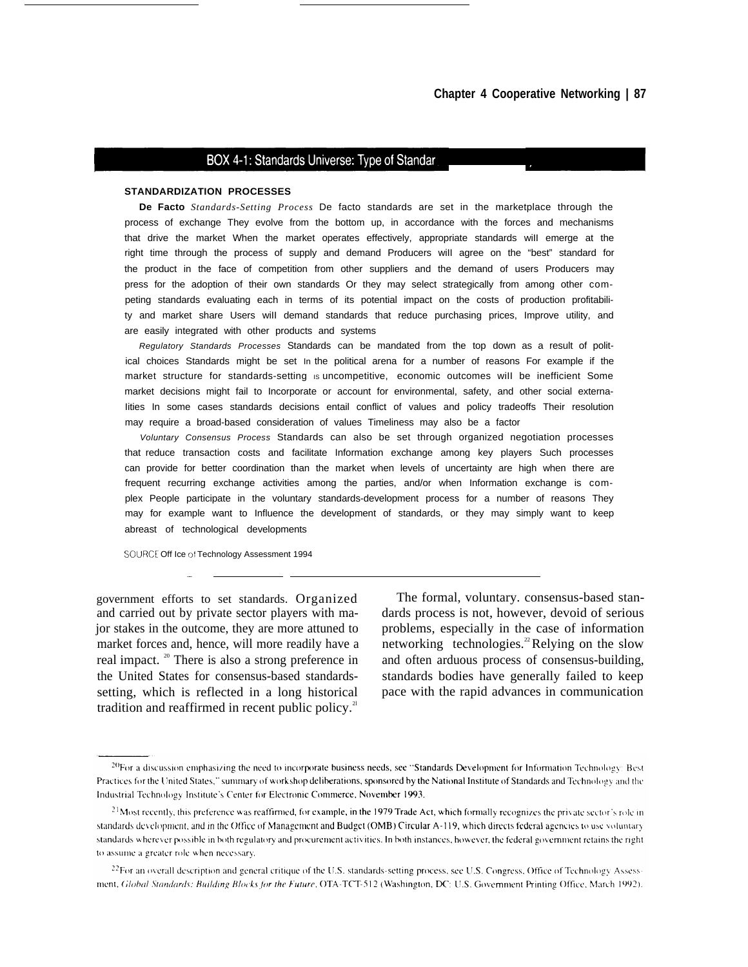#### BOX 4-1: Standards Universe: Type of Standar

#### **STANDARDIZATION PROCESSES**

**De Facto** *Standards-Setting Process* De facto standards are set in the marketplace through the process of exchange They evolve from the bottom up, in accordance with the forces and mechanisms that drive the market When the market operates effectively, appropriate standards will emerge at the right time through the process of supply and demand Producers wiII agree on the "best" standard for the product in the face of competition from other suppliers and the demand of users Producers may press for the adoption of their own standards Or they may select strategically from among other competing standards evaluating each in terms of its potential impact on the costs of production profitability and market share Users wiII demand standards that reduce purchasing prices, Improve utility, and are easily integrated with other products and systems

Regulatory Standards Processes Standards can be mandated from the top down as a result of political choices Standards might be set In the political arena for a number of reasons For example if the market structure for standards-setting is uncompetitive, economic outcomes will be inefficient Some market decisions might fail to Incorporate or account for environmental, safety, and other social externa-Iities In some cases standards decisions entail conflict of values and policy tradeoffs Their resolution may require a broad-based consideration of values Timeliness may also be a factor

Voluntary Consensus Process Standards can also be set through organized negotiation processes that reduce transaction costs and facilitate Information exchange among key players Such processes can provide for better coordination than the market when levels of uncertainty are high when there are frequent recurring exchange activities among the parties, and/or when Information exchange is complex People participate in the voluntary standards-development process for a number of reasons They may for example want to Influence the development of standards, or they may simply want to keep abreast of technological developments

SOURCE Off Ice of Technology Assessment 1994

—

and carried out by private sector players with ma- dards process is not, however, devoid of serious jor stakes in the outcome, they are more attuned to problems, especially in the case of information market forces and, hence, will more readily have a networking technologies.<sup>22</sup>Relying on the slow real impact. <sup>20</sup> There is also a strong preference in and often arduous process of consensus-building, the United States for consensus-based standards- standards bodies have generally failed to keep setting, which is reflected in a long historical pace with the rapid advances in communication tradition and reaffirmed in recent public policy. $2$ 

government efforts to set standards. Organized The formal, voluntary. consensus-based stan-

<sup>&</sup>lt;sup>20</sup>For a discussion emphasizing the need to incorporate business needs, see "Standards Development for Information Technology: Best Practices for the United States," summary of workshop deliberations, sponsored by the National Institute of Standards and Technology and the Industrial Technology Institute's Center for Electronic Commerce, November 1993.

<sup>&</sup>lt;sup>21</sup>Most recently, this preference was reaffirmed, for example, in the 1979 Trade Act, which formally recognizes the private sector's role in standards development, and in the Office of Management and Budget (OMB) Circular A-119, which directs federal agencies to use voluntary standards wherever possible in both regulatory and procurement activities. In both instances, however, the federal government retains the right to assume a greater role when necessary.

<sup>&</sup>lt;sup>22</sup>For an overall description and general critique of the U.S. standards-setting process, see U.S. Congress, Office of Technology Assessment, Global Standards: Building Blocks for the Future, OTA-TCT-512 (Washington, DC: U.S. Government Printing Office, March 1992).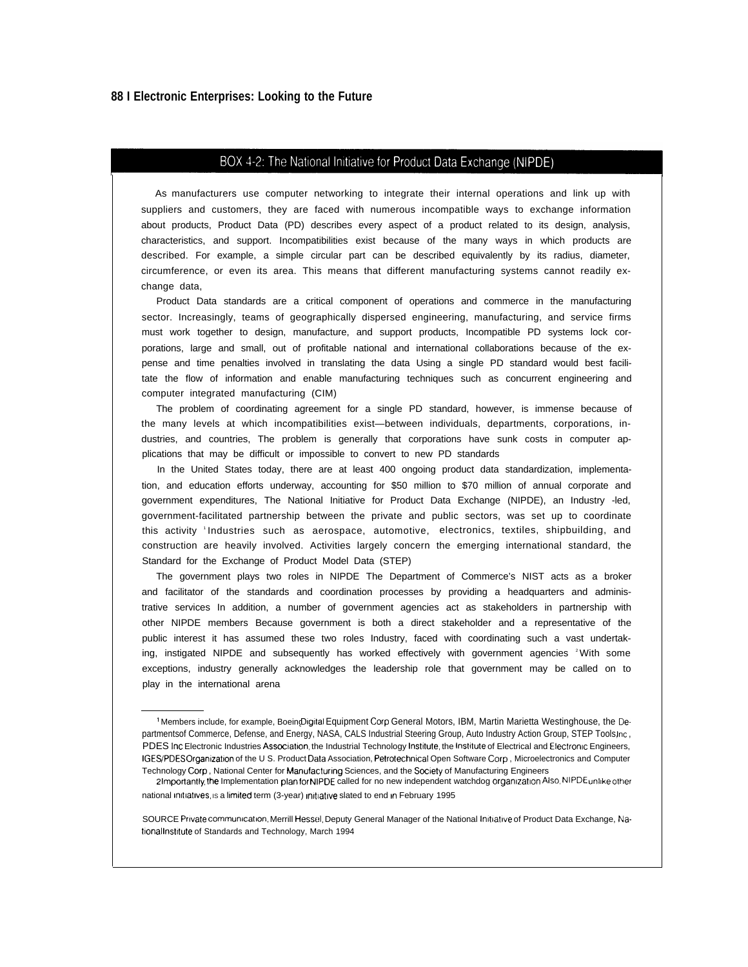#### BOX 4-2: The National Initiative for Product Data Exchange (NIPDE)

As manufacturers use computer networking to integrate their internal operations and link up with suppliers and customers, they are faced with numerous incompatible ways to exchange information about products, Product Data (PD) describes every aspect of a product related to its design, analysis, characteristics, and support. Incompatibilities exist because of the many ways in which products are described. For example, a simple circular part can be described equivalently by its radius, diameter, circumference, or even its area. This means that different manufacturing systems cannot readily exchange data,

Product Data standards are a critical component of operations and commerce in the manufacturing sector. Increasingly, teams of geographically dispersed engineering, manufacturing, and service firms must work together to design, manufacture, and support products, Incompatible PD systems lock corporations, large and small, out of profitable national and international collaborations because of the expense and time penalties involved in translating the data Using a single PD standard would best facilitate the flow of information and enable manufacturing techniques such as concurrent engineering and computer integrated manufacturing (CIM)

The problem of coordinating agreement for a single PD standard, however, is immense because of the many levels at which incompatibilities exist—between individuals, departments, corporations, industries, and countries, The problem is generally that corporations have sunk costs in computer applications that may be difficult or impossible to convert to new PD standards

In the United States today, there are at least 400 ongoing product data standardization, implementation, and education efforts underway, accounting for \$50 million to \$70 million of annual corporate and government expenditures, The National Initiative for Product Data Exchange (NIPDE), an Industry -led, government-facilitated partnership between the private and public sectors, was set up to coordinate this activity <sup>1</sup>Industries such as aerospace, automotive, electronics, textiles, shipbuilding, and construction are heavily involved. Activities largely concern the emerging international standard, the Standard for the Exchange of Product Model Data (STEP)

The government plays two roles in NIPDE The Department of Commerce's NIST acts as a broker and facilitator of the standards and coordination processes by providing a headquarters and administrative services In addition, a number of government agencies act as stakeholders in partnership with other NIPDE members Because government is both a direct stakeholder and a representative of the public interest it has assumed these two roles Industry, faced with coordinating such a vast undertaking, instigated NIPDE and subsequently has worked effectively with government agencies <sup>2</sup>With some exceptions, industry generally acknowledges the leadership role that government may be called on to play in the international arena

<sup>1</sup> Members include, for example, BoeingDigital Equipment Corp General Motors, IBM, Martin Marietta Westinghouse, the Departmentsof Commerce, Defense, and Energy, NASA, CALS Industrial Steering Group, Auto Industry Action Group, STEP Tools, Inc., PDES Inc Electronic Industries Association, the Industrial Technology Institute, the Institute of Electrical and Electronic Engineers, IGES/PDES Organlzatlon of the U S. Product Dala Association, Petrotechnical Open Software Corp , Microelectronics and Computer Technology Corp, National Center for Manufacturing Sciences, and the Society of Manufacturing Engineers

<sup>2</sup> Importantly, the Implementation plan for NIPDE called for no new independent watchdog organization AIso, NIPDE unlike other national initiatives, is a limited term (3-year) initiative slated to end in February 1995

SOURCE Prwate commumcation, Merrill Hessel, Deputy General Manager of the National Imliatwe of Product Data Exchange, National Institute of Standards and Technology, March 1994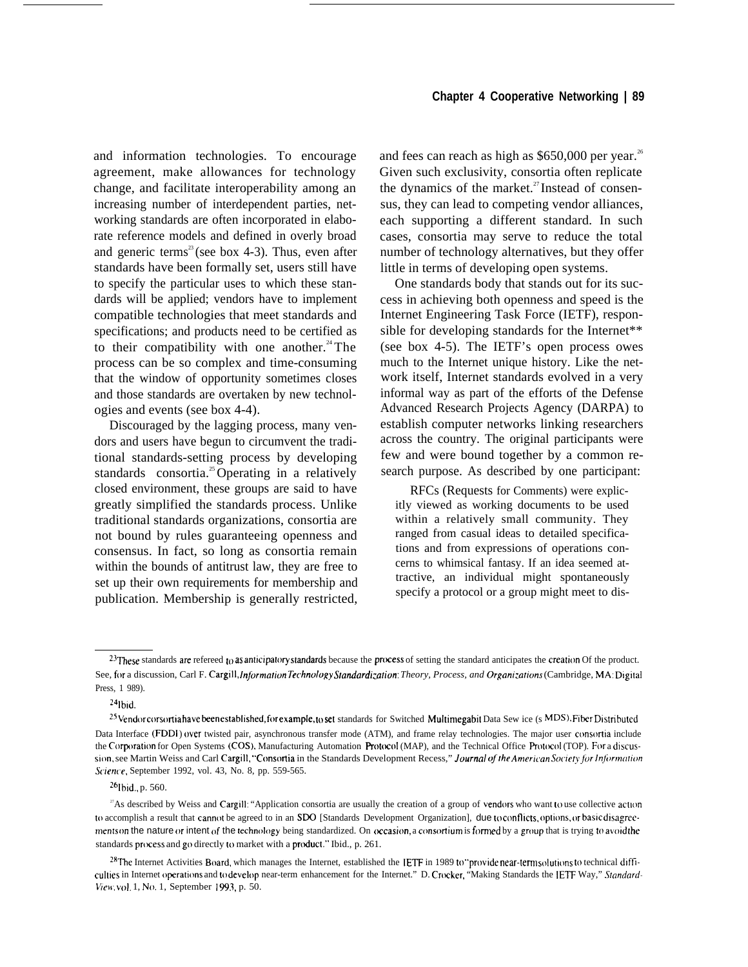and information technologies. To encourage agreement, make allowances for technology change, and facilitate interoperability among an increasing number of interdependent parties, networking standards are often incorporated in elaborate reference models and defined in overly broad and generic terms<sup>23</sup> (see box 4-3). Thus, even after standards have been formally set, users still have to specify the particular uses to which these standards will be applied; vendors have to implement compatible technologies that meet standards and specifications; and products need to be certified as to their compatibility with one another. $24$ The process can be so complex and time-consuming that the window of opportunity sometimes closes and those standards are overtaken by new technologies and events (see box 4-4).

Discouraged by the lagging process, many vendors and users have begun to circumvent the traditional standards-setting process by developing standards consortia.<sup>25</sup> Operating in a relatively closed environment, these groups are said to have greatly simplified the standards process. Unlike traditional standards organizations, consortia are not bound by rules guaranteeing openness and consensus. In fact, so long as consortia remain within the bounds of antitrust law, they are free to set up their own requirements for membership and publication. Membership is generally restricted, and fees can reach as high as  $$650,000$  per year.<sup>26</sup> Given such exclusivity, consortia often replicate the dynamics of the market.<sup>27</sup> Instead of consensus, they can lead to competing vendor alliances, each supporting a different standard. In such cases, consortia may serve to reduce the total number of technology alternatives, but they offer little in terms of developing open systems.

One standards body that stands out for its success in achieving both openness and speed is the Internet Engineering Task Force (IETF), responsible for developing standards for the Internet\*\* (see box 4-5). The IETF's open process owes much to the Internet unique history. Like the network itself, Internet standards evolved in a very informal way as part of the efforts of the Defense Advanced Research Projects Agency (DARPA) to establish computer networks linking researchers across the country. The original participants were few and were bound together by a common research purpose. As described by one participant:

RFCs (Requests for Comments) were explicitly viewed as working documents to be used within a relatively small community. They ranged from casual ideas to detailed specifications and from expressions of operations concerns to whimsical fantasy. If an idea seemed attractive, an individual might spontaneously specify a protocol or a group might meet to dis-

 $24$ lbid.

<sup>26</sup>Ibid., p. 560.

 $23$ These standards are refereed to as anticipatory standards because the process of setting the standard anticipates the creation Of the product. See, for a discussion, Carl F. Cargill, *Information Technology Standardization: Theory, Process, and Organizations* (Cambridge, MA: Digital) Press, 1 989).

<sup>&</sup>lt;sup>25</sup> Vendor corsortia have been established, for example, <sub>10</sub> set standards for Switched Multimegabit Data Sew ice (s MDS). Fiber Distributed Data Interface (FDDI) over twisted pair, asynchronous transfer mode (ATM), and frame relay technologies. The major user consortia include the Corporation for Open Systems (COS), Manufacturing Automation Protocol (MAP), and the Technical Office Protocol (TOP). For a discussion, see Martin Weiss and Carl Cargill, "Consortia in the Standards Development Recess," Journal of the American Society for Information *S(ieme,* September 1992, vol. 43, No. 8, pp. 559-565.

<sup>&</sup>lt;sup>27</sup>As described by Weiss and Cargill: "Application consortia are usually the creation of a group of vendors who want to use collective action to accomplish a result that cannot be agreed to in an SDO [Standards Development Organization], due to conflicts, options, or basic disagreements on the nature or intent of the technology being standardized. On occasion, a consortium is formed by a group that is trying to avoid the standards process and go directly to market with a product." Ibid., p. 261.

<sup>&</sup>lt;sup>28</sup>The Internet Activities Board, which manages the Internet, established the IETF in 1989 to "provide near-term solutions to technical difficulties in Internet operations and to develop near-term enhancement for the Internet." D. Crocker, "Making Standards the IETF Way," Standard- $View$ , vol. 1, No. 1, September 1993, p. 50.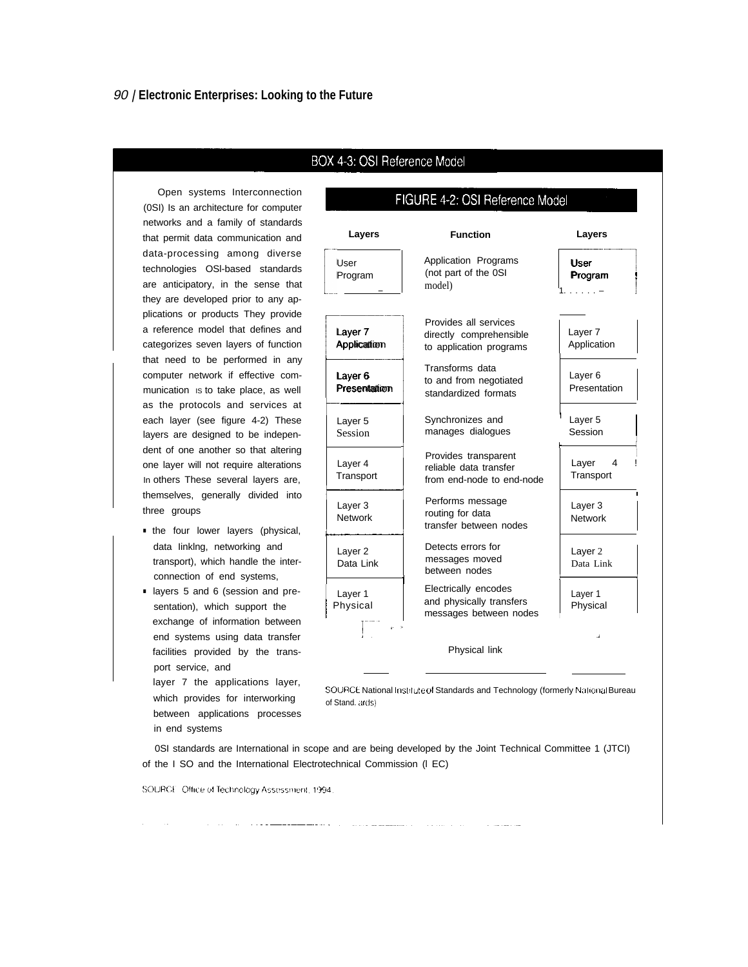Open systems Interconnection (0SI) Is an architecture for computer networks and a family of standards that permit data communication and data-processing among diverse technologies OSl-based standards are anticipatory, in the sense that they are developed prior to any applications or products They provide a reference model that defines and categorizes seven layers of function that need to be performed in any computer network if effective communication is to take place, as well as the protocols and services at each layer (see figure 4-2) These layers are designed to be independent of one another so that altering one layer will not require alterations In others These several layers are, themselves, generally divided into three groups

BOX 4-3: OSI Reference Model

# FIGURE 4-2: OSI Reference Model

| Layers                          | <b>Function</b>                                                             | Layers                            |
|---------------------------------|-----------------------------------------------------------------------------|-----------------------------------|
| User<br>Program                 | Application Programs<br>(not part of the 0SI<br>model)                      | User<br>Program                   |
| Layer 7<br>Application          | Provides all services<br>directly comprehensible<br>to application programs | Layer <sub>7</sub><br>Application |
| Layer 6<br>Presentation         | Transforms data<br>to and from negotiated<br>standardized formats           | Layer 6<br>Presentation           |
| Layer <sub>5</sub><br>Session   | Synchronizes and<br>manages dialogues                                       | Layer 5<br>Session                |
| Layer 4<br>Transport            | Provides transparent<br>reliable data transfer<br>from end-node to end-node | Layer<br>4<br>Transport           |
| Layer 3<br><b>Network</b>       | Performs message<br>routing for data<br>transfer between nodes              | Layer 3<br><b>Network</b>         |
| Layer <sub>2</sub><br>Data Link | Detects errors for<br>messages moved<br>between nodes                       | Layer 2<br>Data Link              |
| Layer 1<br>Physical             | Electrically encodes<br>and physically transfers<br>messages between nodes  | Layer 1<br>Physical               |
|                                 | Physical link                                                               |                                   |

■ the four lower layers (physical, data Iinklng, networking and transport), which handle the interconnection of end systems,

■ layers 5 and 6 (session and presentation), which support the exchange of information between end systems using data transfer facilities provided by the transport service, and

layer 7 the applications layer, which provides for interworking between applications processes in end systems

SOURCE National Institute of Standards and Technology (formerly National Bureau of Stand. ards)

0SI standards are International in scope and are being developed by the Joint Technical Committee 1 (JTCI) of the I SO and the International Electrotechnical Commission (l EC)

SOURCE Office of Technology Assessment, 1994.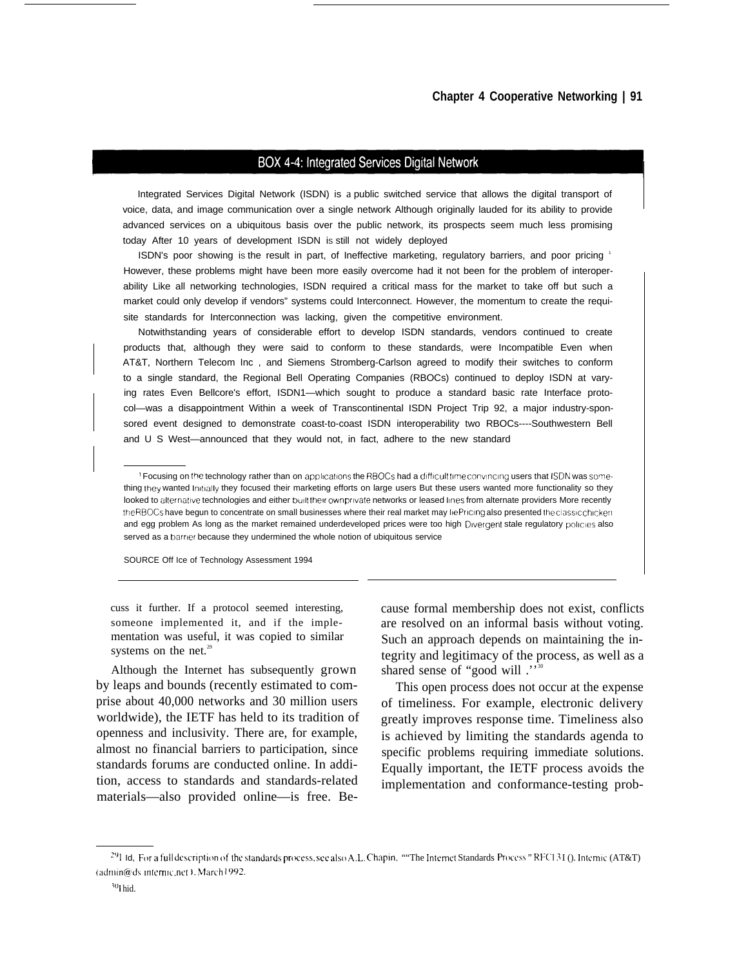#### BOX 4-4: Integrated Services Digital Network

Integrated Services Digital Network (ISDN) is a public switched service that allows the digital transport of voice, data, and image communication over a single network Although originally lauded for its ability to provide advanced services on a ubiquitous basis over the public network, its prospects seem much less promising today After 10 years of development ISDN iS still not widely deployed

ISDN's poor showing is the result in part, of Ineffective marketing, regulatory barriers, and poor pricing 1 However, these problems might have been more easily overcome had it not been for the problem of interoperability Like all networking technologies, ISDN required a critical mass for the market to take off but such a market could only develop if vendors" systems could Interconnect. However, the momentum to create the requisite standards for Interconnection was lacking, given the competitive environment.

Notwithstanding years of considerable effort to develop ISDN standards, vendors continued to create products that, although they were said to conform to these standards, were Incompatible Even when AT&T, Northern Telecom Inc , and Siemens Stromberg-Carlson agreed to modify their switches to conform to a single standard, the Regional Bell Operating Companies (RBOCs) continued to deploy ISDN at varying rates Even Bellcore's effort, ISDN1—which sought to produce a standard basic rate Interface protocol—was a disappointment Within a week of Transcontinental ISDN Project Trip 92, a major industry-sponsored event designed to demonstrate coast-to-coast ISDN interoperability two RBOCs----Southwestern Bell and U S West—announced that they would not, in fact, adhere to the new standard

SOURCE Off Ice of Technology Assessment 1994

cuss it further. If a protocol seemed interesting, someone implemented it, and if the implementation was useful, it was copied to similar systems on the net.<sup>29</sup>

Although the Internet has subsequently grown by leaps and bounds (recently estimated to comprise about 40,000 networks and 30 million users worldwide), the IETF has held to its tradition of openness and inclusivity. There are, for example, almost no financial barriers to participation, since standards forums are conducted online. In addition, access to standards and standards-related materials—also provided online—is free. Because formal membership does not exist, conflicts are resolved on an informal basis without voting. Such an approach depends on maintaining the integrity and legitimacy of the process, as well as a shared sense of "good will."

This open process does not occur at the expense of timeliness. For example, electronic delivery greatly improves response time. Timeliness also is achieved by limiting the standards agenda to specific problems requiring immediate solutions. Equally important, the IETF process avoids the implementation and conformance-testing prob-

<sup>&</sup>lt;sup>1</sup> Focusing on the technology rather than on applications the RBOCs had a difficult time convincing users that ISDN was something they wanted Initially they focused their marketing efforts on large users But these users wanted more functionality so they looked to alternative technologies and either built their own private networks or leased lines from alternate providers More recently the RBOCs have begun to concentrate on small businesses where their real market may lie Pricing also presented the classic chicken and egg problem As long as the market remained underdeveloped prices were too high Divergent stale regulatory policies also served as a barrier because they undermined the whole notion of ubiquitous service

<sup>&</sup>lt;sup>29</sup>I Id, For a full description of the standards process, see also A.L. Chapin, ""The Internet Standards Process" RFC $131$  (). Internic (AT&T) (admin@ds internic.net). March 1992.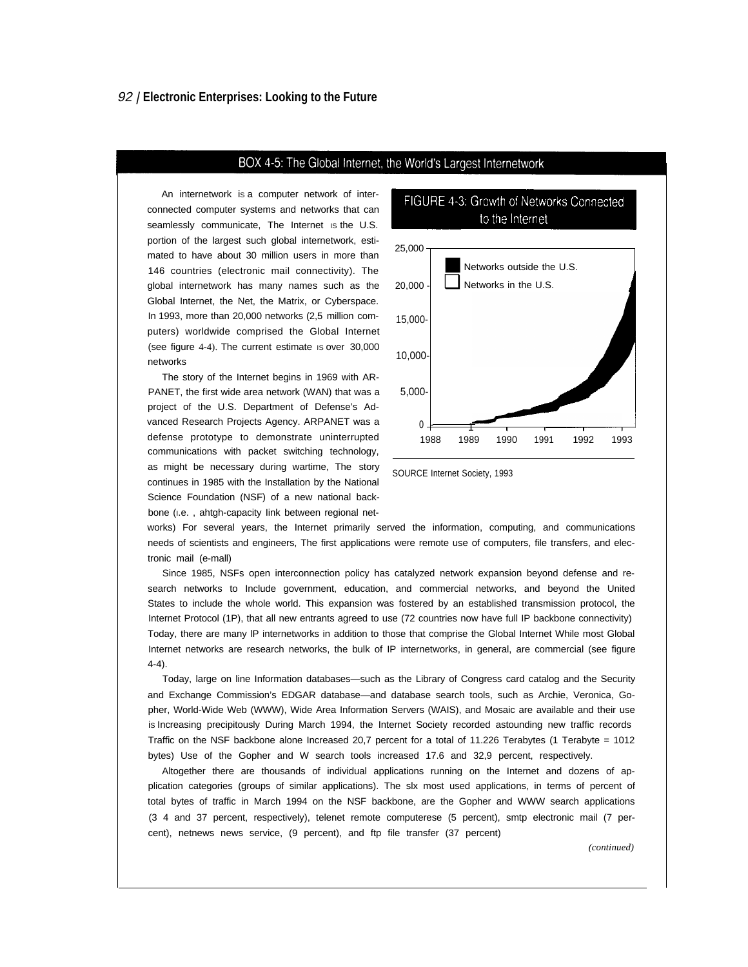#### BOX 4-5: The Global Internet, the World's Largest Internetwork

An internetwork is a computer network of interconnected computer systems and networks that can seamlessly communicate, The Internet is the U.S. portion of the largest such global internetwork, estimated to have about 30 million users in more than 146 countries (electronic mail connectivity). The global internetwork has many names such as the Global Internet, the Net, the Matrix, or Cyberspace. In 1993, more than 20,000 networks (2,5 million computers) worldwide comprised the Global Internet (see figure 4-4). The current estimate is over 30,000 networks

The story of the Internet begins in 1969 with AR-PANET, the first wide area network (WAN) that was a project of the U.S. Department of Defense's Advanced Research Projects Agency. ARPANET was a defense prototype to demonstrate uninterrupted communications with packet switching technology, as might be necessary during wartime, The story continues in 1985 with the Installation by the National Science Foundation (NSF) of a new national backbone (i.e., ahtgh-capacity link between regional net-



FIGURE 4-3: Growth of Networks Connected

SOURCE Internet Society, 1993

works) For several years, the Internet primarily served the information, computing, and communications needs of scientists and engineers, The first applications were remote use of computers, file transfers, and electronic mail (e-mall)

Since 1985, NSFs open interconnection policy has catalyzed network expansion beyond defense and research networks to Include government, education, and commercial networks, and beyond the United States to include the whole world. This expansion was fostered by an established transmission protocol, the Internet Protocol (1P), that all new entrants agreed to use (72 countries now have full IP backbone connectivity) Today, there are many lP internetworks in addition to those that comprise the Global Internet While most Global Internet networks are research networks, the bulk of IP internetworks, in general, are commercial (see figure 4-4).

Today, large on line Information databases—such as the Library of Congress card catalog and the Security and Exchange Commission's EDGAR database—and database search tools, such as Archie, Veronica, Gopher, World-Wide Web (WWW), Wide Area Information Servers (WAIS), and Mosaic are available and their use is Increasing precipitously During March 1994, the Internet Society recorded astounding new traffic records Traffic on the NSF backbone alone Increased 20,7 percent for a total of 11.226 Terabytes (1 Terabyte = 1012 bytes) Use of the Gopher and W search tools increased 17.6 and 32,9 percent, respectively.

Altogether there are thousands of individual applications running on the Internet and dozens of application categories (groups of similar applications). The slx most used applications, in terms of percent of total bytes of traffic in March 1994 on the NSF backbone, are the Gopher and WWW search applications (3 4 and 37 percent, respectively), telenet remote computerese (5 percent), smtp electronic mail (7 percent), netnews news service, (9 percent), and ftp file transfer (37 percent)

*(continued)*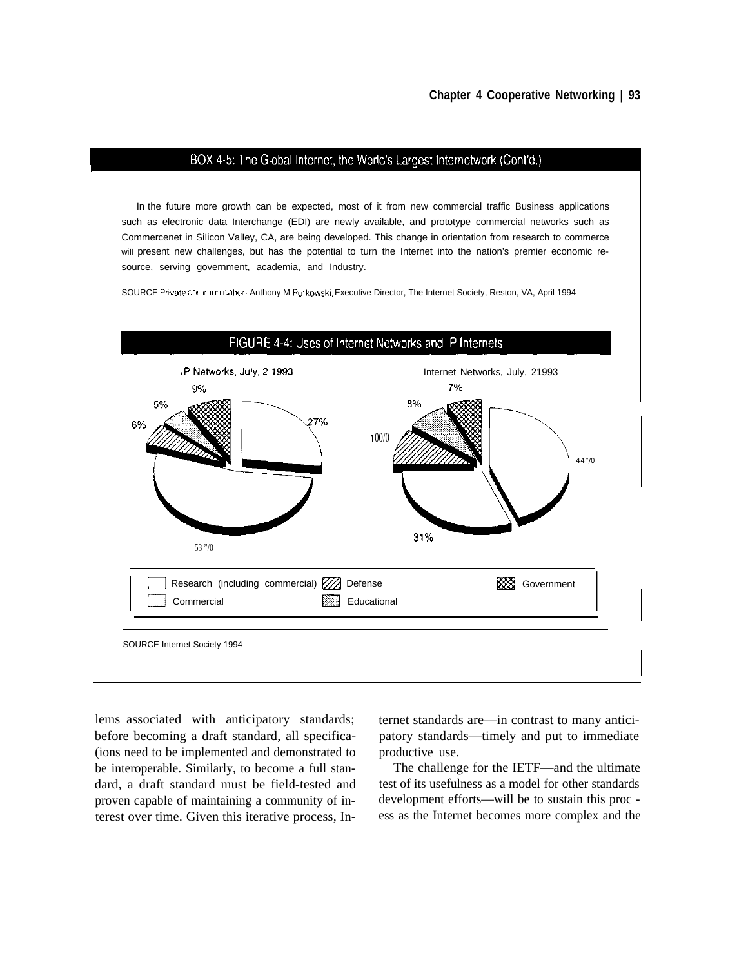#### BOX 4-5: The Global Internet, the World's Largest Internetwork (Cont'd.)

In the future more growth can be expected, most of it from new commercial traffic Business applications such as electronic data Interchange (EDI) are newly available, and prototype commercial networks such as Commercenet in SiIicon ValIey, CA, are being developed. This change in orientation from research to commerce will present new challenges, but has the potential to turn the Internet into the nation's premier economic resource, serving government, academia, and Industry.

SOURCE Private communication, Anthony M Rutkowski, Executive Director, The Internet Society, Reston, VA, April 1994



lems associated with anticipatory standards; ternet standards are—in contrast to many anticibefore becoming a draft standard, all specifica- patory standards—timely and put to immediate (ions need to be implemented and demonstrated to productive use. be interoperable. Similarly, to become a full stan- The challenge for the IETF—and the ultimate dard, a draft standard must be field-tested and test of its usefulness as a model for other standards proven capable of maintaining a community of in- development efforts—will be to sustain this proc terest over time. Given this iterative process, In- ess as the Internet becomes more complex and the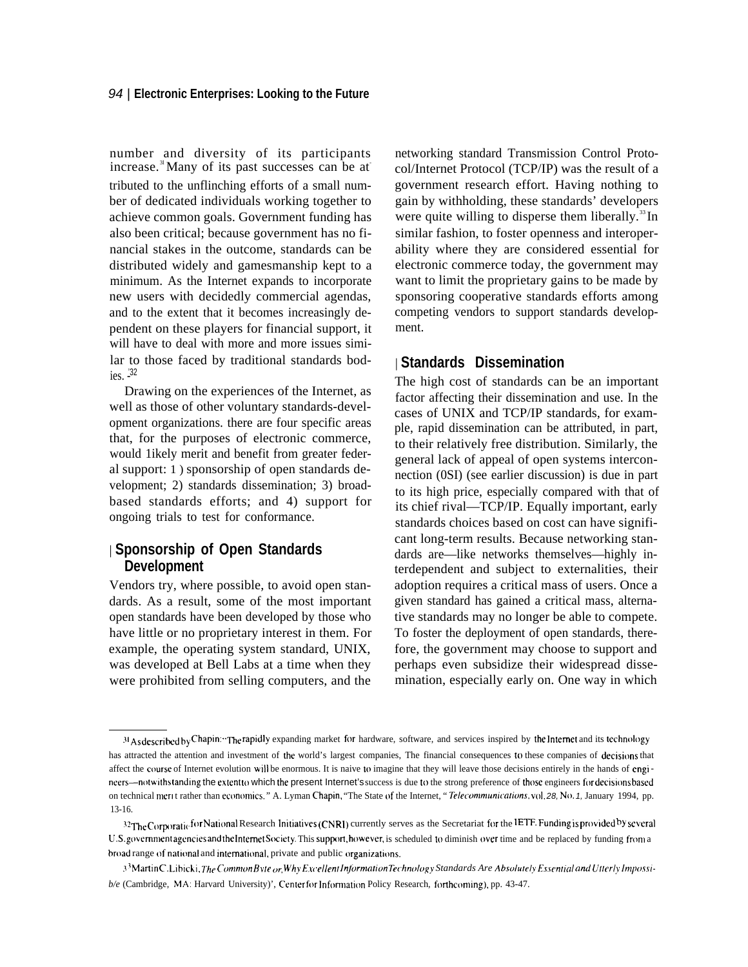number and diversity of its participants increase. $3$  Many of its past successes can be at tributed to the unflinching efforts of a small number of dedicated individuals working together to achieve common goals. Government funding has also been critical; because government has no financial stakes in the outcome, standards can be distributed widely and gamesmanship kept to a minimum. As the Internet expands to incorporate new users with decidedly commercial agendas, and to the extent that it becomes increasingly dependent on these players for financial support, it will have to deal with more and more issues similar to those faced by traditional standards bod  $i$ es.  $\frac{32}{2}$ 

Drawing on the experiences of the Internet, as well as those of other voluntary standards-development organizations. there are four specific areas that, for the purposes of electronic commerce, would 1ikely merit and benefit from greater federal support: 1 ) sponsorship of open standards development; 2) standards dissemination; 3) broadbased standards efforts; and 4) support for ongoing trials to test for conformance.

# | **Sponsorship of Open Standards Development**

Vendors try, where possible, to avoid open standards. As a result, some of the most important open standards have been developed by those who have little or no proprietary interest in them. For example, the operating system standard, UNIX, was developed at Bell Labs at a time when they were prohibited from selling computers, and the

networking standard Transmission Control Protocol/Internet Protocol (TCP/IP) was the result of a government research effort. Having nothing to gain by withholding, these standards' developers were quite willing to disperse them liberally. $33$ In similar fashion, to foster openness and interoperability where they are considered essential for electronic commerce today, the government may want to limit the proprietary gains to be made by sponsoring cooperative standards efforts among competing vendors to support standards development.

#### | **Standards Dissemination**

The high cost of standards can be an important factor affecting their dissemination and use. In the cases of UNIX and TCP/IP standards, for example, rapid dissemination can be attributed, in part, to their relatively free distribution. Similarly, the general lack of appeal of open systems interconnection (0SI) (see earlier discussion) is due in part to its high price, especially compared with that of its chief rival—TCP/IP. Equally important, early standards choices based on cost can have significant long-term results. Because networking standards are—like networks themselves—highly interdependent and subject to externalities, their adoption requires a critical mass of users. Once a given standard has gained a critical mass, alternative standards may no longer be able to compete. To foster the deployment of open standards, therefore, the government may choose to support and perhaps even subsidize their widespread dissemination, especially early on. One way in which

<sup>31</sup> As described by Chapin: "The rapidly expanding market for hardware, software, and services inspired by the Internet and its technology has attracted the attention and investment of the world's largest companies, The financial consequences to these companies of decisions that affect the course of Internet evolution will be enormous. It is naive to imagine that they will leave those decisions entirely in the hands of engincers—notwithstanding the extent to which the present Internet's success is due to the strong preference of those engineers for decisions based on technical merit rather than economics." A. Lyman Chapin, "The State of the Internet, "Telecommunications, vol. 28, No. 1, January 1994, pp. 13-16.

<sup>32</sup>The Corporatic for National Research Initiatives (CNRI) currently serves as the Secretariat for the IETF. Funding *is* provided by several U.S. government agencies and the Internet Society. This support, however, is scheduled to diminish over time and be replaced by funding from a broad range of national and international, private and public organizations.

<sup>3&</sup>lt;sup>3</sup> Martin C. Libicki, The Common Byte or, Why Excellent Information Technology Standards Are Absolutely Essential and Utterly Impossi*b/e* (Cambridge, MA: Harvard University)', Center for Information Policy Research, forthcoming), pp. 43-47.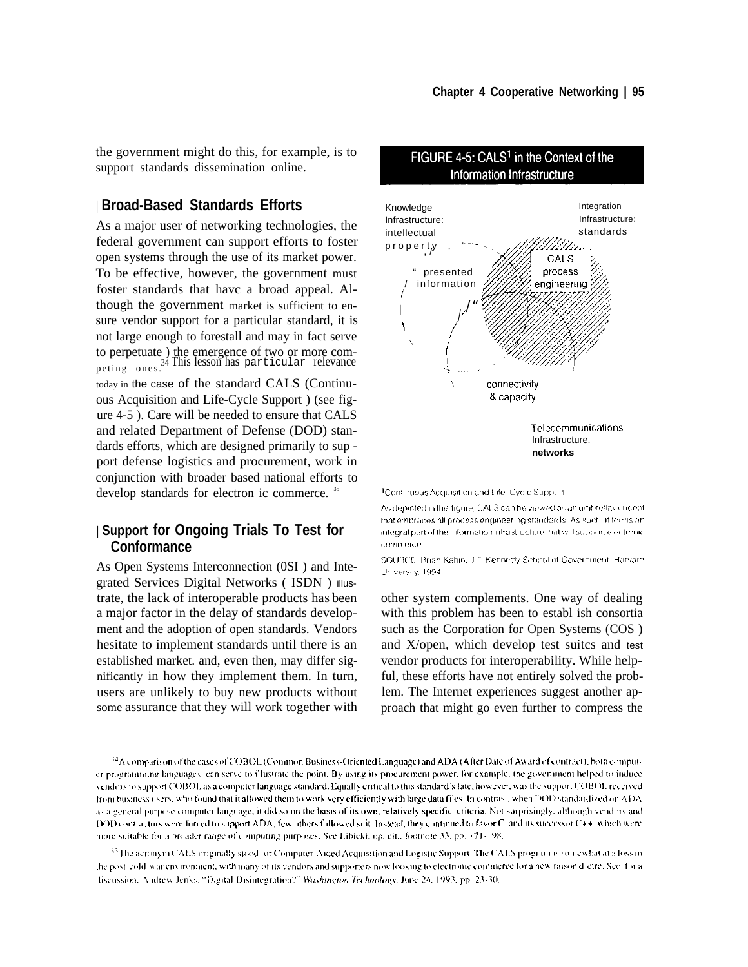the government might do this, for example, is to support standards dissemination online.

# | **Broad-Based Standards Efforts**

As a major user of networking technologies, the federal government can support efforts to foster open systems through the use of its market power. To be effective, however, the government must foster standards that havc a broad appeal. Although the government market is sufficient to ensure vendor support for a particular standard, it is not large enough to forestall and may in fact serve to perpetuate ) the emergence of two or more competing ones.<sup>34</sup> This lesson has particular relevance today in the case of the standard CALS (Continuous Acquisition and Life-Cycle Support ) (see figure 4-5 ). Care will be needed to ensure that CALS and related Department of Defense (DOD) standards efforts, which are designed primarily to sup port defense logistics and procurement, work in conjunction with broader based national efforts to develop standards for electron ic commerce.<sup>35</sup>

# | **Support for Ongoing Trials To Test for Conformance**

As Open Systems Interconnection (0SI ) and Integrated Services Digital Networks ( ISDN ) illustrate, the lack of interoperable products haS been a major factor in the delay of standards development and the adoption of open standards. Vendors hesitate to implement standards until there is an established market. and, even then, may differ significantly in how they implement them. In turn, users are unlikely to buy new products without some assurance that they will work together with



FIGURE 4-5: CALS<sup>1</sup> in the Context of the

<sup>1</sup>Continuous Acquisition and Life. Cycle Support.

As depicted in this figure, CALS can be viewed as an umbrella concept that embraces all process engineering standards. As such, if for ns an integral part of the information infrastructure that will support electronic commerce

SOURCE. Brian Kahin, J.F. Kennedy School of Government, Harvard University, 1994

other system complements. One way of dealing with this problem has been to establ ish consortia such as the Corporation for Open Systems (COS ) and X/open, which develop test suitcs and test vendor products for interoperability. While helpful, these efforts have not entirely solved the problem. The Internet experiences suggest another approach that might go even further to compress the

<sup>35</sup>The acronym CALS originally stood for Computer-Aided Acquisition and Logistic Support. The CALS program is somewhat at a loss inthe post-cold-war environment, with many of its vendors and supporters now looking to electronic commerce for a new raison d'etre. See, for a discussion, Andrew Jenks, "Digital Disintegration?" Washington Technology, June 24, 1993, pp. 23-30.

<sup>&</sup>lt;sup>34</sup>A comparison of the cases of COBOL (Common Business-Oriented Language) and ADA (After Date of Award of contract), both computer programming languages, can serve to illustrate the point. By using its procurement power, for example, the government helped to induce vendors to support COBOL as a computer language standard. Equally critical to this standard's fate, however, was the support COBOL received from business users, who found that it allowed them to work very efficiently with large data files. In contrast, when DOD standardized on ADA as a general purpose computer language, it did so on the basis of its own, relatively specific, criteria. Not surprisingly, although vendors and DOD contractors were forced to support ADA, few others followed suit. Instead, they continued to favor C, and its successor C++, which were more suitable for a broader range of computing purposes. See Libicki, op. cit., footnote 33, pp. 171-198.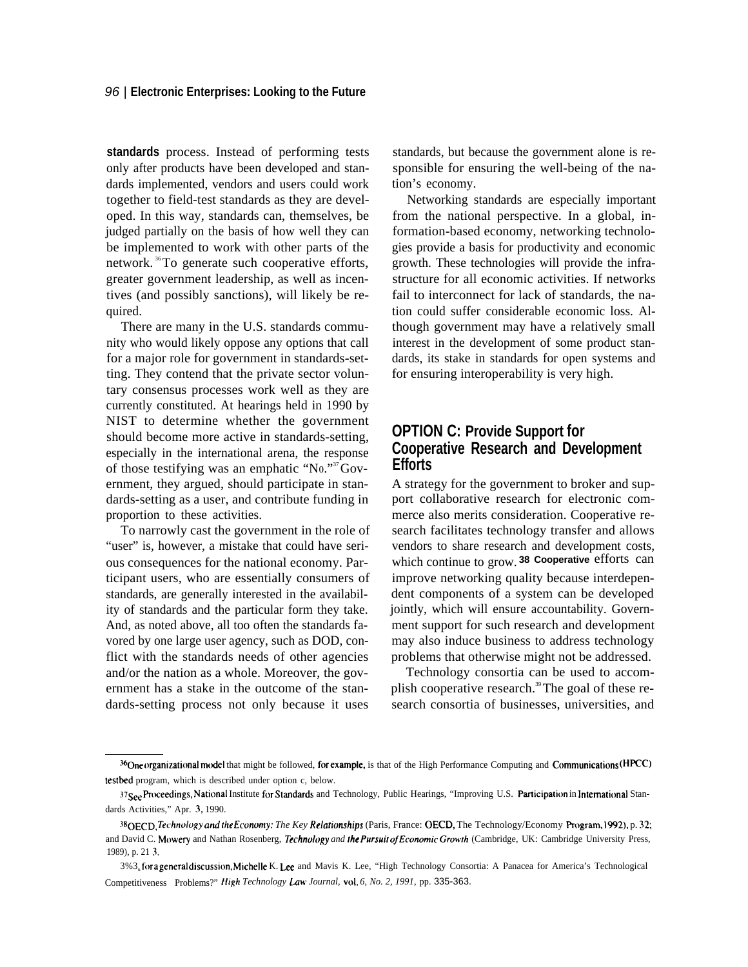#### 96 | **Electronic Enterprises: Looking to the Future**

**standards** process. Instead of performing tests only after products have been developed and standards implemented, vendors and users could work together to field-test standards as they are developed. In this way, standards can, themselves, be judged partially on the basis of how well they can be implemented to work with other parts of the network.<sup>36</sup>To generate such cooperative efforts, greater government leadership, as well as incentives (and possibly sanctions), will likely be required.

There are many in the U.S. standards community who would likely oppose any options that call for a major role for government in standards-setting. They contend that the private sector voluntary consensus processes work well as they are currently constituted. At hearings held in 1990 by NIST to determine whether the government should become more active in standards-setting, especially in the international arena, the response of those testifying was an emphatic "N0."<sup>37</sup>Government, they argued, should participate in standards-setting as a user, and contribute funding in proportion to these activities.

To narrowly cast the government in the role of "user" is, however, a mistake that could have serious consequences for the national economy. Participant users, who are essentially consumers of standards, are generally interested in the availability of standards and the particular form they take. And, as noted above, all too often the standards favored by one large user agency, such as DOD, conflict with the standards needs of other agencies and/or the nation as a whole. Moreover, the government has a stake in the outcome of the standards-setting process not only because it uses

standards, but because the government alone is responsible for ensuring the well-being of the nation's economy.

Networking standards are especially important from the national perspective. In a global, information-based economy, networking technologies provide a basis for productivity and economic growth. These technologies will provide the infrastructure for all economic activities. If networks fail to interconnect for lack of standards, the nation could suffer considerable economic loss. Although government may have a relatively small interest in the development of some product standards, its stake in standards for open systems and for ensuring interoperability is very high.

# **OPTION C: Provide Support for Cooperative Research and Development Efforts**

A strategy for the government to broker and support collaborative research for electronic commerce also merits consideration. Cooperative research facilitates technology transfer and allows vendors to share research and development costs, which continue to grow. **38 Cooperative** efforts can improve networking quality because interdependent components of a system can be developed jointly, which will ensure accountability. Government support for such research and development may also induce business to address technology problems that otherwise might not be addressed.

Technology consortia can be used to accomplish cooperative research.<sup>39</sup> The goal of these research consortia of businesses, universities, and

<sup>36</sup>One organizational model that might be followed, for example, is that of the High Performance Computing and Communications (HPCC) testbed program, which is described under option c, below.

<sup>37</sup>See Proceedings, National Institute for Standards and Technology, Public Hearings, "Improving U.S. Participation in International Standards Activities," Apr. 3, 1990.

<sup>38&</sup>lt;sub>OECD</sub>, Technology and the Economy: The Key Relationships (Paris, France: OECD, The Technology/Economy Program, 1992), p. 32; and David C. Mowery and Nathan Rosenberg, *Technology and the Pursuit of Economic Growth* (Cambridge, UK: Cambridge University Press, 1989), p. 21 3.

<sup>3%3.</sup> for a general discussion, Michelle K. Lee and Mavis K. Lee, "High Technology Consortia: A Panacea for America's Technological Competitiveness Problems?" *High Technology Law Journal, vol. 6, No. 2, 1991, pp.* 335-363.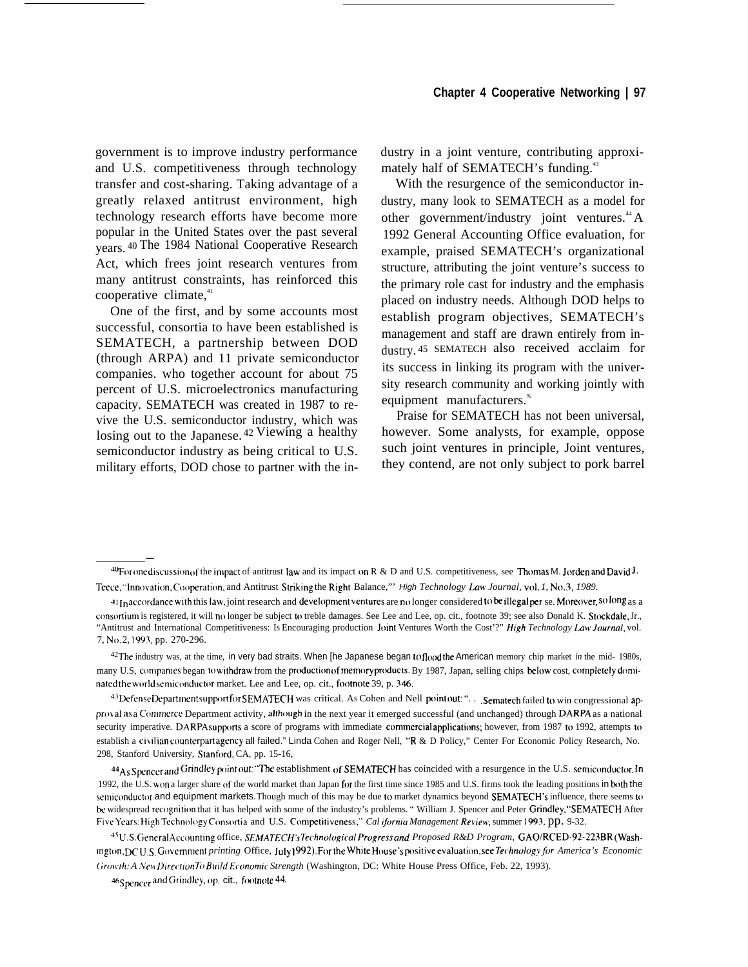government is to improve industry performance and U.S. competitiveness through technology transfer and cost-sharing. Taking advantage of a greatly relaxed antitrust environment, high technology research efforts have become more popular in the United States over the past several years. <sup>40</sup>The 1984 National Cooperative Research Act, which frees joint research ventures from many antitrust constraints, has reinforced this cooperative climate, $41$ 

One of the first, and by some accounts most successful, consortia to have been established is SEMATECH, a partnership between DOD (through ARPA) and 11 private semiconductor companies. who together account for about 75 percent of U.S. microelectronics manufacturing capacity. SEMATECH was created in 1987 to revive the U.S. semiconductor industry, which was losing out to the Japanese. <sup>42</sup> Viewing a healthy semiconductor industry as being critical to U.S. military efforts, DOD chose to partner with the industry in a joint venture, contributing approximately half of SEMATECH's funding.<sup>43</sup>

With the resurgence of the semiconductor industry, many look to SEMATECH as a model for other government/industry joint ventures.<sup>44</sup> A 1992 General Accounting Office evaluation, for example, praised SEMATECH's organizational structure, attributing the joint venture's success to the primary role cast for industry and the emphasis placed on industry needs. Although DOD helps to establish program objectives, SEMATECH's management and staff are drawn entirely from industry. 45 SEMATECH also received acclaim for its success in linking its program with the university research community and working jointly with equipment manufacturers.<sup>\*</sup>

Praise for SEMATECH has not been universal, however. Some analysts, for example, oppose such joint ventures in principle, Joint ventures, they contend, are not only subject to pork barrel

—

 $^{40}$ For one discussion of the impact of antitrust law and its impact on R & D and U.S. competitiveness, see Thomas M. Jorden and David J. Teece, "Innovation, Cooperation, and Antitrust Striking the Right Balance," High *Technology Law Journal, vol.1*, No.3, 1989.

 $41$ In accordance with this law, joint research and development ventures are no longer considered to be illegal per se. Moreover, so long as a consortium is registered, it will no longer be subject to treble damages. See Lee and Lee, op. cit., footnote 39; see also Donald K. Stockdale, Jr., "Antitrust and International Competitiveness: Is Encouraging production Joint Ventures Worth the Cost'?" *High Technology Law Journal*, vol. 7, No. 2, 1993, pp. 270-296.

<sup>&</sup>lt;sup>42</sup>The industry was, at the time, in very bad straits. When [he Japanese began to flood the American memory chip market *in* the mid- 1980s, many U.S, companies began to withdraw from the production of memory products. By 1987, Japan, selling chips below cost, completely dominated the world semiconductor market. Lee and Lee, op. cit., footnote 39, p. 346.

<sup>43</sup> Defense Department support for SEMATECH was critical. As Cohen and Nell point out: ". . . Sematech failed to win congressional approval as a Commerce Department activity, although in the next year it emerged successful (and unchanged) through DARPA as a national security imperative. DARPA supports a score of programs with immediate commercial applications; however, from 1987 to 1992, attempts to establish a civilian counterpart agency all failed." Linda Cohen and Roger Nell, "R & D Policy," Center For Economic Policy Research, No. 298, Stanford University, Stanford, CA, pp. 15-16,

<sup>44</sup> As Spencer and Grindley point out: "The establishment of SEMATECH has coincided with a resurgence in the U.S. semiconductor. In 1992, the U.S. won a larger share of the world market than Japan for the first time since 1985 and U.S. firms took the leading positions in both the semiconductor and equipment markets. Though much of this may be due to market dynamics beyond SEMATECH's influence, there seems to be widespread recognition that it has helped with some of the industry's problems. "William J. Spencer and Peter Grindley, "SEMATECH After Five Years: High Technology Consortia and U.S. Competitiveness," Cal ifornia Management Review, summer 1993, pp. 9-32.

<sup>&</sup>lt;sup>45</sup>U.S. General Accounting office, *SEMATECH's Technological Progress and Proposed R&D Program, GAO/RCED-92-223BR (Washlngton, DCU* S. Government printing Office, July 1992). For the White House's positive evaluation, see *Technology for America's Economic (;rcj)~th: A ,?'e\i Dirc(rlon 7i) llul/d Econormc Strength* (Washington, DC: White House Press Office, Feb. 22, 1993).

<sup>46</sup> Spencer and Grindley, op. cit., footnote 44.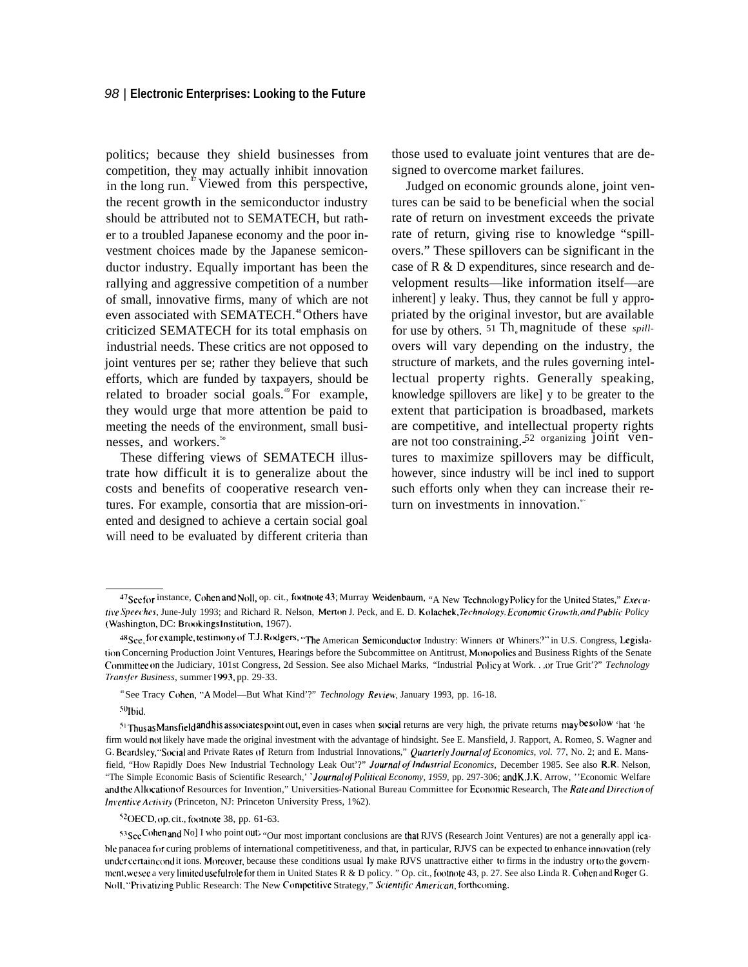#### 98 | **Electronic Enterprises: Looking to the Future**

politics; because they shield businesses from competition, they may actually inhibit innovation in the long run.<sup> $\text{17}$ </sup> Viewed from this perspective, the recent growth in the semiconductor industry should be attributed not to SEMATECH, but rather to a troubled Japanese economy and the poor investment choices made by the Japanese semiconductor industry. Equally important has been the rallying and aggressive competition of a number of small, innovative firms, many of which are not even associated with SEMATECH.<sup>48</sup>Others have criticized SEMATECH for its total emphasis on industrial needs. These critics are not opposed to joint ventures per se; rather they believe that such efforts, which are funded by taxpayers, should be related to broader social goals.<sup>49</sup>For example, they would urge that more attention be paid to meeting the needs of the environment, small businesses, and workers.<sup>50</sup>

These differing views of SEMATECH illustrate how difficult it is to generalize about the costs and benefits of cooperative research ventures. For example, consortia that are mission-oriented and designed to achieve a certain social goal will need to be evaluated by different criteria than those used to evaluate joint ventures that are designed to overcome market failures.

Judged on economic grounds alone, joint ventures can be said to be beneficial when the social rate of return on investment exceeds the private rate of return, giving rise to knowledge "spillovers." These spillovers can be significant in the case of R & D expenditures, since research and development results—like information itself—are inherent] y leaky. Thus, they cannot be full y appropriated by the original investor, but are available for use by others. <sup>51</sup> Th<sub>e</sub> magnitude of these *spill*overs will vary depending on the industry, the structure of markets, and the rules governing intellectual property rights. Generally speaking, knowledge spillovers are like] y to be greater to the extent that participation is broadbased, markets are competitive, and intellectual property rights are not too constraining. $52$  organizing joint ventures to maximize spillovers may be difficult, however, since industry will be incl ined to support such efforts only when they can increase their return on investments in innovation. $\delta$ 

<sup>47</sup>See for instance, Cohen and Noll, op. cit., footnote 43; Murray Weidenbaum, "A New Technology Policy for the United States," Execu*fi~'e Spee("hes,* June-July 1993; and Richard R. Nelson, Mert(m J. Peck, and E. D. Kolachek, *Technology. E(onomtc <jrowth, and Public Policy* (Washington, DC: Brookings Institution, 1967).

<sup>48</sup> See, for example, testimony of T.J. Rodgers, "The American Semiconductor Industry: Winners or Whiners." in U.S. Congress, Legislation Concerning Production Joint Ventures, Hearings before the Subcommittee on Antitrust, Monopolies and Business Rights of the Senate C(mm~ittee (m the Judiciary, 101st Congress, 2d Session. See also Michael Marks, "Industrial Policy at Work. . .or True Grit'?" *Technology Trans/er Business,* summer 1993, pp. 29-33.

<sup>49</sup>See Tracy Cohen, "A Model—But What Kind'?" *Technology Ret'iew',* January 1993, pp. 16-18.

<sup>50</sup>Ibid.

<sup>51</sup> Thus as Mansfield and his associates point out, even in cases when social returns are very high, the private returns may be solow 'hat 'he firm would not likely have made the original investment with the advantage of hindsight. See E. Mansfield, J. Rapport, A. Romeo, S. Wagner and G. Beardsley, "Social and Private Rates of Return from Industrial Innovations," *Quarterly Journal of Economics, vol.* 77, No. 2; and E. Mansfield, "How Rapidly Does New Industrial Technology Leak Out'?" *Journal of Industrial Economics*, December 1985. See also R.R. Nelson, "The Simple Economic Basis of Scientific Research,' 'Journa/ *ofPo/ilica/ Economy, 1959,* pp. 297-306; and K.J.K. Arrow, ''Economic Welfare and the Allocation of Resources for Invention," Universities-National Bureau Committee for Economic Research, The *Rate and Direction of Inventive Activity* (Princeton, NJ: Princeton University Press, 1%2).

<sup>&#</sup>x27;20ECD, op. cit., footnote 38, pp. 61-63.

<sup>53</sup>See Cohen and No] I who point out. "Our most important conclusions are that RJVS (Research Joint Ventures) are not a generally appl icable panacea for curing problems of international competitiveness, and that, in particular, RJVS can be expected to enhance innovation (rely under certain cond it ions. Moreover, because these conditions usual ly make RJVS unattractive either to firms in the industry or to the government. we see a very limited useful role for them in United States R & D policy. " Op. cit., footnote 43, p. 27. See also Linda R. Cohen and Roger G. Noll, "Privatizing Public Research: The New Competitive Strategy," Scientific American, forthcoming.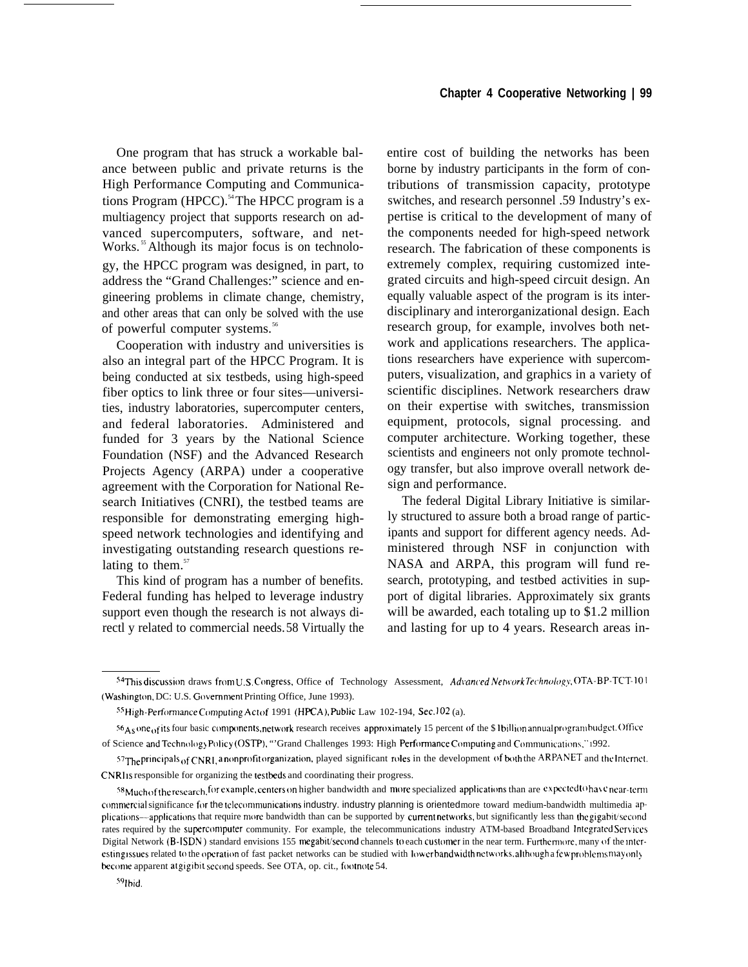One program that has struck a workable balance between public and private returns is the High Performance Computing and Communications Program (HPCC).<sup>54</sup>The HPCC program is a multiagency project that supports research on advanced supercomputers, software, and net-Works.<sup>55</sup> Although its major focus is on technology, the HPCC program was designed, in part, to address the "Grand Challenges:" science and engineering problems in climate change, chemistry, and other areas that can only be solved with the use of powerful computer systems.<sup>56</sup>

Cooperation with industry and universities is also an integral part of the HPCC Program. It is being conducted at six testbeds, using high-speed fiber optics to link three or four sites—universities, industry laboratories, supercomputer centers, and federal laboratories. Administered and funded for 3 years by the National Science Foundation (NSF) and the Advanced Research Projects Agency (ARPA) under a cooperative agreement with the Corporation for National Research Initiatives (CNRI), the testbed teams are responsible for demonstrating emerging highspeed network technologies and identifying and investigating outstanding research questions relating to them. $57$ 

This kind of program has a number of benefits. Federal funding has helped to leverage industry support even though the research is not always directl y related to commercial needs.58 Virtually the entire cost of building the networks has been borne by industry participants in the form of contributions of transmission capacity, prototype switches, and research personnel .59 Industry's expertise is critical to the development of many of the components needed for high-speed network research. The fabrication of these components is extremely complex, requiring customized integrated circuits and high-speed circuit design. An equally valuable aspect of the program is its interdisciplinary and interorganizational design. Each research group, for example, involves both network and applications researchers. The applications researchers have experience with supercomputers, visualization, and graphics in a variety of scientific disciplines. Network researchers draw on their expertise with switches, transmission equipment, protocols, signal processing. and computer architecture. Working together, these scientists and engineers not only promote technology transfer, but also improve overall network design and performance.

The federal Digital Library Initiative is similarly structured to assure both a broad range of participants and support for different agency needs. Administered through NSF in conjunction with NASA and ARPA, this program will fund research, prototyping, and testbed activities in support of digital libraries. Approximately six grants will be awarded, each totaling up to \$1.2 million and lasting for up to 4 years. Research areas in-

<sup>54</sup>This discussion draws from U.S. Congress, Office of Technology Assessment, *Advanced NetworkTechnology*, OTA-BP-TCT-101 (Washington, DC: U.S. Government Printing Office, June 1993).

<sup>55</sup> High-Performance Computing Act of 1991 (HPCA), Public Law 102-194, Sec. 102 (a).

<sup>56</sup>As one of its four basic components, network research receives approximately 15 percent of the \$ lbillion annual program budget. Office of Science and Technology Policy (OSTP), "'Grand Challenges 1993: High Performance Computing and Communications," 1992.

 $^{57}$ The principals of CNRI, a nonprofit organization, played significant roles in the development of both the ARPANET and the Internet. CNRI Is responsible for organizing the testbeds and coordinating their progress.

<sup>58</sup> Much of the research, for example, centers on higher bandwidth and more specialized applications than are expected to have near-term commercial significance for the tclecommunications industry. industry planning is oriented more toward medium-bandwidth multimedia applications---applications that require more bandwidth than can be supported by current networks, but significantly less than the gigabit/second rates required by the supercomputer community. For example, the telecommunications industry ATM-based Broadband Integrated Services Digital Network (B-ISDN) standard envisions 155 megabit/second channels to each customer in the near term. Furthermore, many of the interesting issues related to the operation of fast packet networks can be studied with lowerbandwidthnetworks, although a few problems may only become apparent at gigibit second speeds. See OTA, op. cit., footnote 54.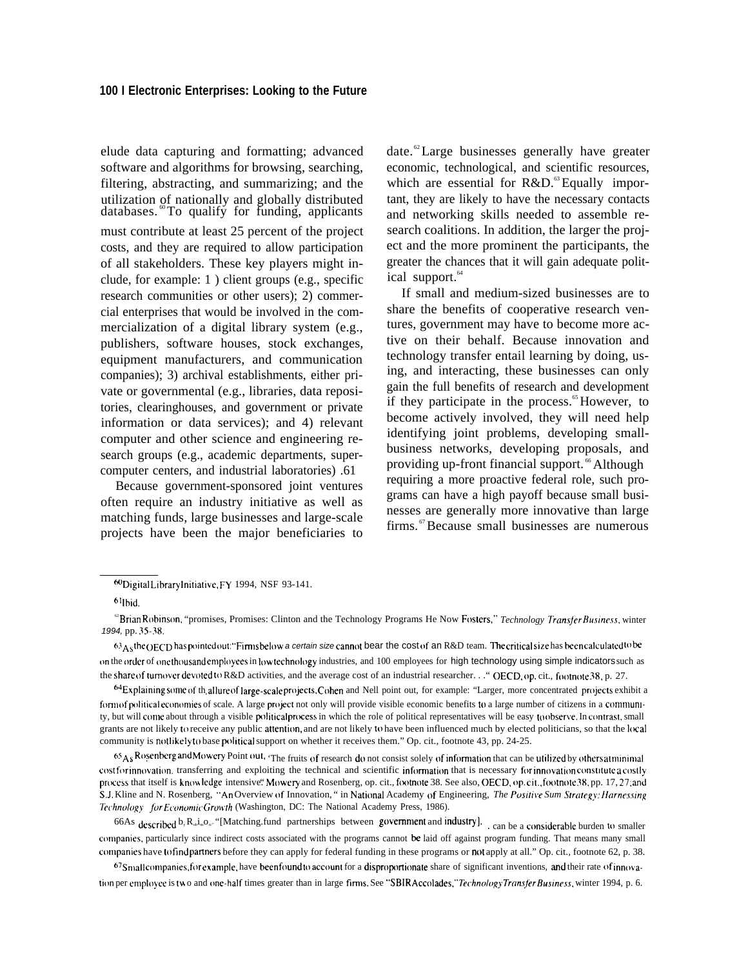elude data capturing and formatting; advanced software and algorithms for browsing, searching, filtering, abstracting, and summarizing; and the utilization of nationally and globally distributed  $databases.$   $\degree$ To qualify for funding, applicants must contribute at least 25 percent of the project costs, and they are required to allow participation of all stakeholders. These key players might include, for example: 1 ) client groups (e.g., specific research communities or other users); 2) commercial enterprises that would be involved in the commercialization of a digital library system (e.g., publishers, software houses, stock exchanges, equipment manufacturers, and communication companies); 3) archival establishments, either private or governmental (e.g., libraries, data repositories, clearinghouses, and government or private information or data services); and 4) relevant computer and other science and engineering research groups (e.g., academic departments, supercomputer centers, and industrial laboratories) .61

Because government-sponsored joint ventures often require an industry initiative as well as matching funds, large businesses and large-scale projects have been the major beneficiaries to date. <sup>62</sup>Large businesses generally have greater economic, technological, and scientific resources, which are essential for  $R&D$ .<sup>63</sup> Equally important, they are likely to have the necessary contacts and networking skills needed to assemble research coalitions. In addition, the larger the project and the more prominent the participants, the greater the chances that it will gain adequate political support.<sup>64</sup>

If small and medium-sized businesses are to share the benefits of cooperative research ventures, government may have to become more active on their behalf. Because innovation and technology transfer entail learning by doing, using, and interacting, these businesses can only gain the full benefits of research and development if they participate in the process.<sup>65</sup> However, to become actively involved, they will need help identifying joint problems, developing smallbusiness networks, developing proposals, and providing up-front financial support.<sup>66</sup> Although requiring a more proactive federal role, such programs can have a high payoff because small businesses are generally more innovative than large firms. <sup>67</sup>Because small businesses are numerous

65 A<sub>S</sub> Rosenberg and Mowery Point out, 'The fruits of research do not consist solely of information that can be utilized by others at minima cost for innovation, transferring and exploiting the technical and scientific information that is necessary for innovation constitute a costly process that itself is knowledge intensive." Mowery and Rosenberg, op. cit., footnote 38. See also, OECD, op. cit., footnote 38, pp. 17, 27; and S.J. Kline and N. Rosenberg, "An Overview of Innovation, " in National Academy of Engineering, *The Positive Sum Strategy: Harnessing Technology for Economic Growth* (Washington, DC: The National Academy Press, 1986).

66As described  $b_y R_{\omega} i_{\omega}$  "[Matching.fund partnerships between government and industry]. can be a considerable burden to smaller companies, particularly since indirect costs associated with the programs cannot be laid off against program funding. That means many small companies have to find partners before they can apply for federal funding in these programs or not apply at all." Op. cit., footnote 62, p. 38.

 $67$ Small companies, for example, have been found to account for a disproportionate share of significant inventions, and their rate of innovation per employee is two and one-half times greater than in large firms. See "SBIR Accolades," *Technology Transfer Business*, winter 1994, p. 6.

<sup>~</sup>Digila]Library ]ni[ia[ive, FY 1994, NSF 93-141.

 $6$ <sup>1</sup>Ibid.

<sup>&</sup>lt;sup>a</sup>Brian Robinson, "promises, Promises: Clinton and the Technology Programs He Now Fosters," *Technology Transfer Business*, winter 1994, pp. 35-38.

 $63_A$ <sub>S</sub>the OECD has pointed out: "Firms below a certain size cannot bear the cost of an R&D team. The critical size has been calculated to be on the order of one thousand employees in low technology industries, and 100 employees for high technology using simple indicators such as the share of turnover devoted to R&D activities, and the average cost of an industrial researcher. . . " OECD, op. cit., footnote 38, p. 27.

<sup>&</sup>lt;sup>64</sup>Explaining some of th<sub>e</sub>allure of large-scale projects, Cohen and Nell point out, for example: "Larger, more concentrated projects exhibit a form of political economies of scale. A large project not only will provide visible economic benefits to a large number of citizens in a community, but will come about through a visible political process in which the role of political representatives will be easy to observe. In contrast, small grants are not likely to receive any public attention, and are not likely to have been influenced much by elected politicians, so that the local community is not likely to base political support on whether it receives them." Op. cit., footnote 43, pp. 24-25.